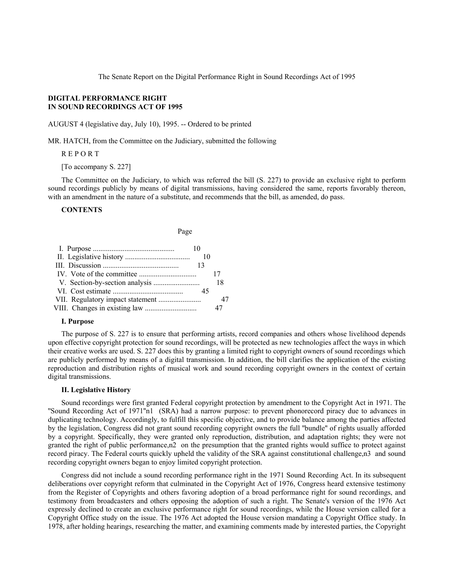The Senate Report on the Digital Performance Right in Sound Recordings Act of 1995

# **DIGITAL PERFORMANCE RIGHT IN SOUND RECORDINGS ACT OF 1995**

AUGUST 4 (legislative day, July 10), 1995. -- Ordered to be printed

MR. HATCH, from the Committee on the Judiciary, submitted the following

R E P O R T

[To accompany S. 227]

The Committee on the Judiciary, to which was referred the bill (S. 227) to provide an exclusive right to perform sound recordings publicly by means of digital transmissions, having considered the same, reports favorably thereon, with an amendment in the nature of a substitute, and recommends that the bill, as amended, do pass.

# **CONTENTS**

| Page |    |  |
|------|----|--|
| 10   |    |  |
|      | 10 |  |
|      | 13 |  |
|      | 17 |  |
|      | 18 |  |
|      | 45 |  |
|      |    |  |
|      |    |  |

## **I. Purpose**

The purpose of S. 227 is to ensure that performing artists, record companies and others whose livelihood depends upon effective copyright protection for sound recordings, will be protected as new technologies affect the ways in which their creative works are used. S. 227 does this by granting a limited right to copyright owners of sound recordings which are publicly performed by means of a digital transmission. In addition, the bill clarifies the application of the existing reproduction and distribution rights of musical work and sound recording copyright owners in the context of certain digital transmissions.

### **II. Legislative History**

Sound recordings were first granted Federal copyright protection by amendment to the Copyright Act in 1971. The ''Sound Recording Act of 1971''n1 (SRA) had a narrow purpose: to prevent phonorecord piracy due to advances in duplicating technology. Accordingly, to fulfill this specific objective, and to provide balance among the parties affected by the legislation, Congress did not grant sound recording copyright owners the full ''bundle'' of rights usually afforded by a copyright. Specifically, they were granted only reproduction, distribution, and adaptation rights; they were not granted the right of public performance,n2 on the presumption that the granted rights would suffice to protect against record piracy. The Federal courts quickly upheld the validity of the SRA against constitutional challenge,n3 and sound recording copyright owners began to enjoy limited copyright protection.

Congress did not include a sound recording performance right in the 1971 Sound Recording Act. In its subsequent deliberations over copyright reform that culminated in the Copyright Act of 1976, Congress heard extensive testimony from the Register of Copyrights and others favoring adoption of a broad performance right for sound recordings, and testimony from broadcasters and others opposing the adoption of such a right. The Senate's version of the 1976 Act expressly declined to create an exclusive performance right for sound recordings, while the House version called for a Copyright Office study on the issue. The 1976 Act adopted the House version mandating a Copyright Office study. In 1978, after holding hearings, researching the matter, and examining comments made by interested parties, the Copyright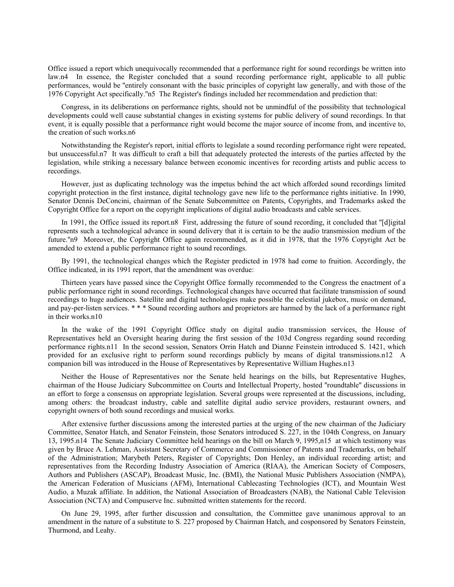Office issued a report which unequivocally recommended that a performance right for sound recordings be written into law.n4 In essence, the Register concluded that a sound recording performance right, applicable to all public performances, would be ''entirely consonant with the basic principles of copyright law generally, and with those of the 1976 Copyright Act specifically.''n5 The Register's findings included her recommendation and prediction that:

Congress, in its deliberations on performance rights, should not be unmindful of the possibility that technological developments could well cause substantial changes in existing systems for public delivery of sound recordings. In that event, it is equally possible that a performance right would become the major source of income from, and incentive to, the creation of such works.n6

Notwithstanding the Register's report, initial efforts to legislate a sound recording performance right were repeated, but unsuccessful.n7 It was difficult to craft a bill that adequately protected the interests of the parties affected by the legislation, while striking a necessary balance between economic incentives for recording artists and public access to recordings.

However, just as duplicating technology was the impetus behind the act which afforded sound recordings limited copyright protection in the first instance, digital technology gave new life to the performance rights initiative. In 1990, Senator Dennis DeConcini, chairman of the Senate Subcommittee on Patents, Copyrights, and Trademarks asked the Copyright Office for a report on the copyright implications of digital audio broadcasts and cable services.

In 1991, the Office issued its report.n8 First, addressing the future of sound recording, it concluded that ''[d]igital represents such a technological advance in sound delivery that it is certain to be the audio transmission medium of the future.''n9 Moreover, the Copyright Office again recommended, as it did in 1978, that the 1976 Copyright Act be amended to extend a public performance right to sound recordings.

By 1991, the technological changes which the Register predicted in 1978 had come to fruition. Accordingly, the Office indicated, in its 1991 report, that the amendment was overdue:

Thirteen years have passed since the Copyright Office formally recommended to the Congress the enactment of a public performance right in sound recordings. Technological changes have occurred that facilitate transmission of sound recordings to huge audiences. Satellite and digital technologies make possible the celestial jukebox, music on demand, and pay-per-listen services. \* \* \* Sound recording authors and proprietors are harmed by the lack of a performance right in their works.n10

In the wake of the 1991 Copyright Office study on digital audio transmission services, the House of Representatives held an Oversight hearing during the first session of the 103d Congress regarding sound recording performance rights.n11 In the second session, Senators Orrin Hatch and Dianne Feinstein introduced S. 1421, which provided for an exclusive right to perform sound recordings publicly by means of digital transmissions.n12 A companion bill was introduced in the House of Representatives by Representative William Hughes.n13

Neither the House of Representatives nor the Senate held hearings on the bills, but Representative Hughes, chairman of the House Judiciary Subcommittee on Courts and Intellectual Property, hosted ''roundtable'' discussions in an effort to forge a consensus on appropriate legislation. Several groups were represented at the discussions, including, among others: the broadcast industry, cable and satellite digital audio service providers, restaurant owners, and copyright owners of both sound recordings and musical works.

After extensive further discussions among the interested parties at the urging of the new chairman of the Judiciary Committee, Senator Hatch, and Senator Feinstein, those Senators introduced S. 227, in the 104th Congress, on January 13, 1995.n14 The Senate Judiciary Committee held hearings on the bill on March 9, 1995,n15 at which testimony was given by Bruce A. Lehman, Assistant Secretary of Commerce and Commissioner of Patents and Trademarks, on behalf of the Administration; Marybeth Peters, Register of Copyrights; Don Henley, an individual recording artist; and representatives from the Recording Industry Association of America (RIAA), the American Society of Composers, Authors and Publishers (ASCAP), Broadcast Music, Inc. (BMI), the National Music Publishers Association (NMPA), the American Federation of Musicians (AFM), International Cablecasting Technologies (ICT), and Mountain West Audio, a Muzak affiliate. In addition, the National Association of Broadcasters (NAB), the National Cable Television Association (NCTA) and Compuserve Inc. submitted written statements for the record.

On June 29, 1995, after further discussion and consultation, the Committee gave unanimous approval to an amendment in the nature of a substitute to S. 227 proposed by Chairman Hatch, and cosponsored by Senators Feinstein, Thurmond, and Leahy.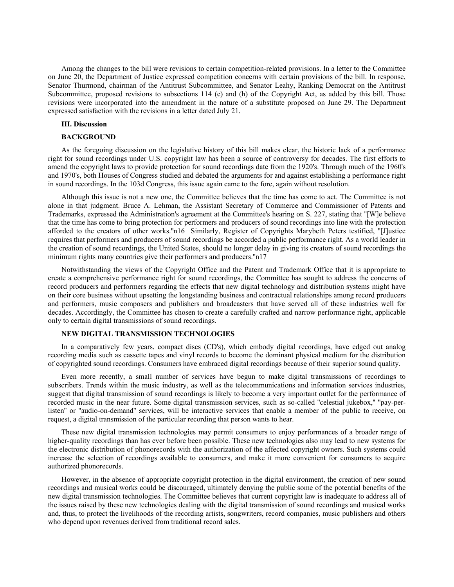Among the changes to the bill were revisions to certain competition-related provisions. In a letter to the Committee on June 20, the Department of Justice expressed competition concerns with certain provisions of the bill. In response, Senator Thurmond, chairman of the Antitrust Subcommittee, and Senator Leahy, Ranking Democrat on the Antitrust Subcommittee, proposed revisions to subsections 114 (e) and (h) of the Copyright Act, as added by this bill. Those revisions were incorporated into the amendment in the nature of a substitute proposed on June 29. The Department expressed satisfaction with the revisions in a letter dated July 21.

#### **III. Discussion**

# **BACKGROUND**

As the foregoing discussion on the legislative history of this bill makes clear, the historic lack of a performance right for sound recordings under U.S. copyright law has been a source of controversy for decades. The first efforts to amend the copyright laws to provide protection for sound recordings date from the 1920's. Through much of the 1960's and 1970's, both Houses of Congress studied and debated the arguments for and against establishing a performance right in sound recordings. In the 103d Congress, this issue again came to the fore, again without resolution.

Although this issue is not a new one, the Committee believes that the time has come to act. The Committee is not alone in that judgment. Bruce A. Lehman, the Assistant Secretary of Commerce and Commissioner of Patents and Trademarks, expressed the Administration's agreement at the Committee's hearing on S. 227, stating that ''[W]e believe that the time has come to bring protection for performers and producers of sound recordings into line with the protection afforded to the creators of other works.''n16 Similarly, Register of Copyrights Marybeth Peters testified, ''[J]ustice requires that performers and producers of sound recordings be accorded a public performance right. As a world leader in the creation of sound recordings, the United States, should no longer delay in giving its creators of sound recordings the minimum rights many countries give their performers and producers.''n17

Notwithstanding the views of the Copyright Office and the Patent and Trademark Office that it is appropriate to create a comprehensive performance right for sound recordings, the Committee has sought to address the concerns of record producers and performers regarding the effects that new digital technology and distribution systems might have on their core business without upsetting the longstanding business and contractual relationships among record producers and performers, music composers and publishers and broadcasters that have served all of these industries well for decades. Accordingly, the Committee has chosen to create a carefully crafted and narrow performance right, applicable only to certain digital transmissions of sound recordings.

# **NEW DIGITAL TRANSMISSION TECHNOLOGIES**

In a comparatively few years, compact discs (CD's), which embody digital recordings, have edged out analog recording media such as cassette tapes and vinyl records to become the dominant physical medium for the distribution of copyrighted sound recordings. Consumers have embraced digital recordings because of their superior sound quality.

Even more recently, a small number of services have begun to make digital transmissions of recordings to subscribers. Trends within the music industry, as well as the telecommunications and information services industries, suggest that digital transmission of sound recordings is likely to become a very important outlet for the performance of recorded music in the near future. Some digital transmission services, such as so-called ''celestial jukebox,'' ''pay-perlisten'' or ''audio-on-demand'' services, will be interactive services that enable a member of the public to receive, on request, a digital transmission of the particular recording that person wants to hear.

These new digital transmission technologies may permit consumers to enjoy performances of a broader range of higher-quality recordings than has ever before been possible. These new technologies also may lead to new systems for the electronic distribution of phonorecords with the authorization of the affected copyright owners. Such systems could increase the selection of recordings available to consumers, and make it more convenient for consumers to acquire authorized phonorecords.

However, in the absence of appropriate copyright protection in the digital environment, the creation of new sound recordings and musical works could be discouraged, ultimately denying the public some of the potential benefits of the new digital transmission technologies. The Committee believes that current copyright law is inadequate to address all of the issues raised by these new technologies dealing with the digital transmission of sound recordings and musical works and, thus, to protect the livelihoods of the recording artists, songwriters, record companies, music publishers and others who depend upon revenues derived from traditional record sales.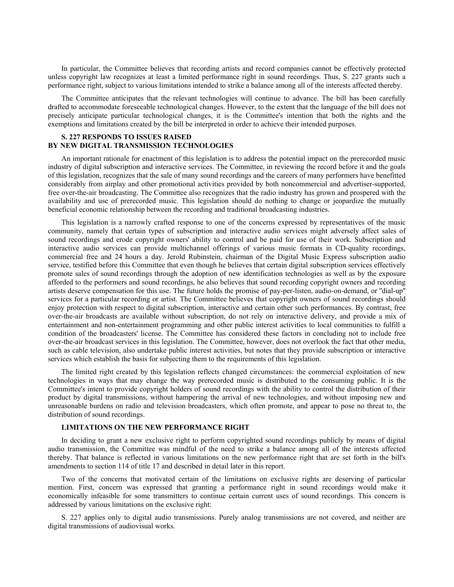In particular, the Committee believes that recording artists and record companies cannot be effectively protected unless copyright law recognizes at least a limited performance right in sound recordings. Thus, S. 227 grants such a performance right, subject to various limitations intended to strike a balance among all of the interests affected thereby.

The Committee anticipates that the relevant technologies will continue to advance. The bill has been carefully drafted to accommodate foreseeable technological changes. However, to the extent that the language of the bill does not precisely anticipate particular technological changes, it is the Committee's intention that both the rights and the exemptions and limitations created by the bill be interpreted in order to achieve their intended purposes.

# **S. 227 RESPONDS TO ISSUES RAISED BY NEW DIGITAL TRANSMISSION TECHNOLOGIES**

An important rationale for enactment of this legislation is to address the potential impact on the prerecorded music industry of digital subscription and interactive services. The Committee, in reviewing the record before it and the goals of this legislation, recognizes that the sale of many sound recordings and the careers of many performers have benefitted considerably from airplay and other promotional activities provided by both noncommercial and advertiser-supported, free over-the-air broadcasting. The Committee also recognizes that the radio industry has grown and prospered with the availability and use of prerecorded music. This legislation should do nothing to change or jeopardize the mutually beneficial economic relationship between the recording and traditional broadcasting industries.

This legislation is a narrowly crafted response to one of the concerns expressed by representatives of the music community, namely that certain types of subscription and interactive audio services might adversely affect sales of sound recordings and erode copyright owners' ability to control and be paid for use of their work. Subscription and interactive audio services can provide multichannel offerings of various music formats in CD-quality recordings, commercial free and 24 hours a day. Jerold Rubinstein, chairman of the Digital Music Express subscription audio service, testified before this Committee that even though he believes that certain digital subscription services effectively promote sales of sound recordings through the adoption of new identification technologies as well as by the exposure afforded to the performers and sound recordings, he also believes that sound recording copyright owners and recording artists deserve compensation for this use. The future holds the promise of pay-per-listen, audio-on-demand, or ''dial-up'' services for a particular recording or artist. The Committee believes that copyright owners of sound recordings should enjoy protection with respect to digital subscription, interactive and certain other such performances. By contrast, free over-the-air broadcasts are available without subscription, do not rely on interactive delivery, and provide a mix of entertainment and non-entertainment programming and other public interest activities to local communities to fulfill a condition of the broadcasters' license. The Committee has considered these factors in concluding not to include free over-the-air broadcast services in this legislation. The Committee, however, does not overlook the fact that other media, such as cable television, also undertake public interest activities, but notes that they provide subscription or interactive services which establish the basis for subjecting them to the requirements of this legislation.

The limited right created by this legislation reflects changed circumstances: the commercial exploitation of new technologies in ways that may change the way prerecorded music is distributed to the consuming public. It is the Committee's intent to provide copyright holders of sound recordings with the ability to control the distribution of their product by digital transmissions, without hampering the arrival of new technologies, and without imposing new and unreasonable burdens on radio and television broadcasters, which often promote, and appear to pose no threat to, the distribution of sound recordings.

# **LIMITATIONS ON THE NEW PERFORMANCE RIGHT**

In deciding to grant a new exclusive right to perform copyrighted sound recordings publicly by means of digital audio transmission, the Committee was mindful of the need to strike a balance among all of the interests affected thereby. That balance is reflected in various limitations on the new performance right that are set forth in the bill's amendments to section 114 of title 17 and described in detail later in this report.

Two of the concerns that motivated certain of the limitations on exclusive rights are deserving of particular mention. First, concern was expressed that granting a performance right in sound recordings would make it economically infeasible for some transmitters to continue certain current uses of sound recordings. This concern is addressed by various limitations on the exclusive right:

S. 227 applies only to digital audio transmissions. Purely analog transmissions are not covered, and neither are digital transmissions of audiovisual works.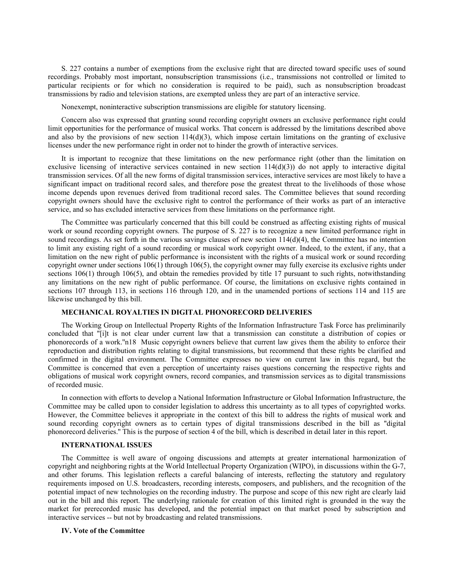S. 227 contains a number of exemptions from the exclusive right that are directed toward specific uses of sound recordings. Probably most important, nonsubscription transmissions (i.e., transmissions not controlled or limited to particular recipients or for which no consideration is required to be paid), such as nonsubscription broadcast transmissions by radio and television stations, are exempted unless they are part of an interactive service.

Nonexempt, noninteractive subscription transmissions are eligible for statutory licensing.

Concern also was expressed that granting sound recording copyright owners an exclusive performance right could limit opportunities for the performance of musical works. That concern is addressed by the limitations described above and also by the provisions of new section  $114(d)(3)$ , which impose certain limitations on the granting of exclusive licenses under the new performance right in order not to hinder the growth of interactive services.

It is important to recognize that these limitations on the new performance right (other than the limitation on exclusive licensing of interactive services contained in new section 114(d)(3)) do not apply to interactive digital transmission services. Of all the new forms of digital transmission services, interactive services are most likely to have a significant impact on traditional record sales, and therefore pose the greatest threat to the livelihoods of those whose income depends upon revenues derived from traditional record sales. The Committee believes that sound recording copyright owners should have the exclusive right to control the performance of their works as part of an interactive service, and so has excluded interactive services from these limitations on the performance right.

The Committee was particularly concerned that this bill could be construed as affecting existing rights of musical work or sound recording copyright owners. The purpose of S. 227 is to recognize a new limited performance right in sound recordings. As set forth in the various savings clauses of new section  $114(d)(4)$ , the Committee has no intention to limit any existing right of a sound recording or musical work copyright owner. Indeed, to the extent, if any, that a limitation on the new right of public performance is inconsistent with the rights of a musical work or sound recording copyright owner under sections 106(1) through 106(5), the copyright owner may fully exercise its exclusive rights under sections  $106(1)$  through  $106(5)$ , and obtain the remedies provided by title 17 pursuant to such rights, notwithstanding any limitations on the new right of public performance. Of course, the limitations on exclusive rights contained in sections 107 through 113, in sections 116 through 120, and in the unamended portions of sections 114 and 115 are likewise unchanged by this bill.

# **MECHANICAL ROYALTIES IN DIGITAL PHONORECORD DELIVERIES**

The Working Group on Intellectual Property Rights of the Information Infrastructure Task Force has preliminarily concluded that ''[i]t is not clear under current law that a transmission can constitute a distribution of copies or phonorecords of a work.''n18 Music copyright owners believe that current law gives them the ability to enforce their reproduction and distribution rights relating to digital transmissions, but recommend that these rights be clarified and confirmed in the digital environment. The Committee expresses no view on current law in this regard, but the Committee is concerned that even a perception of uncertainty raises questions concerning the respective rights and obligations of musical work copyright owners, record companies, and transmission services as to digital transmissions of recorded music.

In connection with efforts to develop a National Information Infrastructure or Global Information Infrastructure, the Committee may be called upon to consider legislation to address this uncertainty as to all types of copyrighted works. However, the Committee believes it appropriate in the context of this bill to address the rights of musical work and sound recording copyright owners as to certain types of digital transmissions described in the bill as ''digital phonorecord deliveries.'' This is the purpose of section 4 of the bill, which is described in detail later in this report.

# **INTERNATIONAL ISSUES**

The Committee is well aware of ongoing discussions and attempts at greater international harmonization of copyright and neighboring rights at the World Intellectual Property Organization (WIPO), in discussions within the G-7, and other forums. This legislation reflects a careful balancing of interests, reflecting the statutory and regulatory requirements imposed on U.S. broadcasters, recording interests, composers, and publishers, and the recognition of the potential impact of new technologies on the recording industry. The purpose and scope of this new right are clearly laid out in the bill and this report. The underlying rationale for creation of this limited right is grounded in the way the market for prerecorded music has developed, and the potential impact on that market posed by subscription and interactive services -- but not by broadcasting and related transmissions.

# **IV. Vote of the Committee**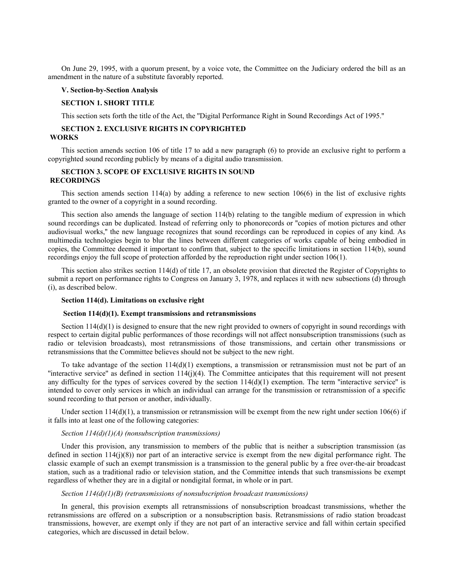On June 29, 1995, with a quorum present, by a voice vote, the Committee on the Judiciary ordered the bill as an amendment in the nature of a substitute favorably reported.

## **V. Section-by-Section Analysis**

#### **SECTION 1. SHORT TITLE**

This section sets forth the title of the Act, the ''Digital Performance Right in Sound Recordings Act of 1995.''

# **SECTION 2. EXCLUSIVE RIGHTS IN COPYRIGHTED WORKS**

This section amends section 106 of title 17 to add a new paragraph (6) to provide an exclusive right to perform a copyrighted sound recording publicly by means of a digital audio transmission.

# **SECTION 3. SCOPE OF EXCLUSIVE RIGHTS IN SOUND RECORDINGS**

This section amends section  $114(a)$  by adding a reference to new section  $106(6)$  in the list of exclusive rights granted to the owner of a copyright in a sound recording.

This section also amends the language of section 114(b) relating to the tangible medium of expression in which sound recordings can be duplicated. Instead of referring only to phonorecords or ''copies of motion pictures and other audiovisual works,'' the new language recognizes that sound recordings can be reproduced in copies of any kind. As multimedia technologies begin to blur the lines between different categories of works capable of being embodied in copies, the Committee deemed it important to confirm that, subject to the specific limitations in section 114(b), sound recordings enjoy the full scope of protection afforded by the reproduction right under section 106(1).

This section also strikes section 114(d) of title 17, an obsolete provision that directed the Register of Copyrights to submit a report on performance rights to Congress on January 3, 1978, and replaces it with new subsections (d) through (i), as described below.

#### **Section 114(d). Limitations on exclusive right**

# **Section 114(d)(1). Exempt transmissions and retransmissions**

Section  $114(d)(1)$  is designed to ensure that the new right provided to owners of copyright in sound recordings with respect to certain digital public performances of those recordings will not affect nonsubscription transmissions (such as radio or television broadcasts), most retransmissions of those transmissions, and certain other transmissions or retransmissions that the Committee believes should not be subject to the new right.

To take advantage of the section  $114(d)(1)$  exemptions, a transmission or retransmission must not be part of an "interactive service" as defined in section  $114(j)(4)$ . The Committee anticipates that this requirement will not present any difficulty for the types of services covered by the section  $114(d)(1)$  exemption. The term "interactive service" is intended to cover only services in which an individual can arrange for the transmission or retransmission of a specific sound recording to that person or another, individually.

Under section  $114(d)(1)$ , a transmission or retransmission will be exempt from the new right under section 106(6) if it falls into at least one of the following categories:

## *Section 114(d)(1)(A) (nonsubscription transmissions)*

Under this provision, any transmission to members of the public that is neither a subscription transmission (as defined in section  $114(j)(8)$ ) nor part of an interactive service is exempt from the new digital performance right. The classic example of such an exempt transmission is a transmission to the general public by a free over-the-air broadcast station, such as a traditional radio or television station, and the Committee intends that such transmissions be exempt regardless of whether they are in a digital or nondigital format, in whole or in part.

# *Section 114(d)(1)(B) (retransmissions of nonsubscription broadcast transmissions)*

In general, this provision exempts all retransmissions of nonsubscription broadcast transmissions, whether the retransmissions are offered on a subscription or a nonsubscription basis. Retransmissions of radio station broadcast transmissions, however, are exempt only if they are not part of an interactive service and fall within certain specified categories, which are discussed in detail below.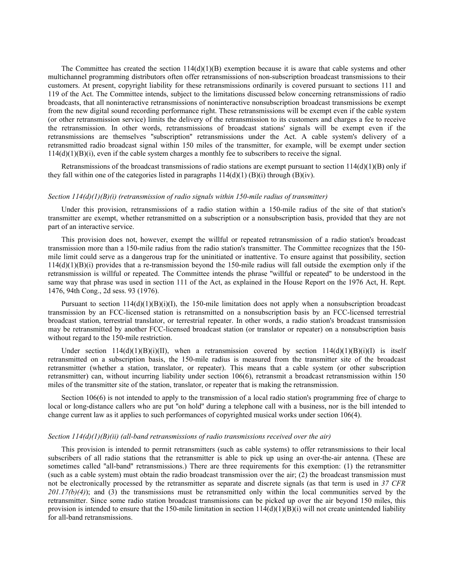The Committee has created the section  $114(d)(1)(B)$  exemption because it is aware that cable systems and other multichannel programming distributors often offer retransmissions of non-subscription broadcast transmissions to their customers. At present, copyright liability for these retransmissions ordinarily is covered pursuant to sections 111 and 119 of the Act. The Committee intends, subject to the limitations discussed below concerning retransmissions of radio broadcasts, that all noninteractive retransmissions of noninteractive nonsubscription broadcast transmissions be exempt from the new digital sound recording performance right. These retransmissions will be exempt even if the cable system (or other retransmission service) limits the delivery of the retransmission to its customers and charges a fee to receive the retransmission. In other words, retransmissions of broadcast stations' signals will be exempt even if the retransmissions are themselves ''subscription'' retransmissions under the Act. A cable system's delivery of a retransmitted radio broadcast signal within 150 miles of the transmitter, for example, will be exempt under section  $114(d)(1)(B)(i)$ , even if the cable system charges a monthly fee to subscribers to receive the signal.

Retransmissions of the broadcast transmissions of radio stations are exempt pursuant to section  $114(d)(1)(B)$  only if they fall within one of the categories listed in paragraphs  $114(d)(1)$  (B)(i) through (B)(iv).

## *Section 114(d)(1)(B)(i) (retransmission of radio signals within 150-mile radius of transmitter)*

Under this provision, retransmissions of a radio station within a 150-mile radius of the site of that station's transmitter are exempt, whether retransmitted on a subscription or a nonsubscription basis, provided that they are not part of an interactive service.

This provision does not, however, exempt the willful or repeated retransmission of a radio station's broadcast transmission more than a 150-mile radius from the radio station's transmitter. The Committee recognizes that the 150 mile limit could serve as a dangerous trap for the uninitiated or inattentive. To ensure against that possibility, section  $114(d)(1)(B)(i)$  provides that a re-transmission beyond the 150-mile radius will fall outside the exemption only if the retransmission is willful or repeated. The Committee intends the phrase ''willful or repeated'' to be understood in the same way that phrase was used in section 111 of the Act, as explained in the House Report on the 1976 Act, H. Rept. 1476, 94th Cong., 2d sess. 93 (1976).

Pursuant to section  $114(d)(1)(B)(i)(I)$ , the 150-mile limitation does not apply when a nonsubscription broadcast transmission by an FCC-licensed station is retransmitted on a nonsubscription basis by an FCC-licensed terrestrial broadcast station, terrestrial translator, or terrestrial repeater. In other words, a radio station's broadcast transmission may be retransmitted by another FCC-licensed broadcast station (or translator or repeater) on a nonsubscription basis without regard to the 150-mile restriction.

Under section  $114(d)(1)(B)(i)(II)$ , when a retransmission covered by section  $114(d)(1)(B)(i)(I)$  is itself retransmitted on a subscription basis, the 150-mile radius is measured from the transmitter site of the broadcast retransmitter (whether a station, translator, or repeater). This means that a cable system (or other subscription retransmitter) can, without incurring liability under section 106(6), retransmit a broadcast retransmission within 150 miles of the transmitter site of the station, translator, or repeater that is making the retransmission.

Section 106(6) is not intended to apply to the transmission of a local radio station's programming free of charge to local or long-distance callers who are put ''on hold'' during a telephone call with a business, nor is the bill intended to change current law as it applies to such performances of copyrighted musical works under section 106(4).

#### *Section 114(d)(1)(B)(ii) (all-band retransmissions of radio transmissions received over the air)*

This provision is intended to permit retransmitters (such as cable systems) to offer retransmissions to their local subscribers of all radio stations that the retransmitter is able to pick up using an over-the-air antenna. (These are sometimes called ''all-band'' retransmissions.) There are three requirements for this exemption: (1) the retransmitter (such as a cable system) must obtain the radio broadcast transmission over the air; (2) the broadcast transmission must not be electronically processed by the retransmitter as separate and discrete signals (as that term is used in *37 CFR 201.17(b)(4)*); and (3) the transmissions must be retransmitted only within the local communities served by the retransmitter. Since some radio station broadcast transmissions can be picked up over the air beyond 150 miles, this provision is intended to ensure that the 150-mile limitation in section  $114(d)(1)(B)(i)$  will not create unintended liability for all-band retransmissions.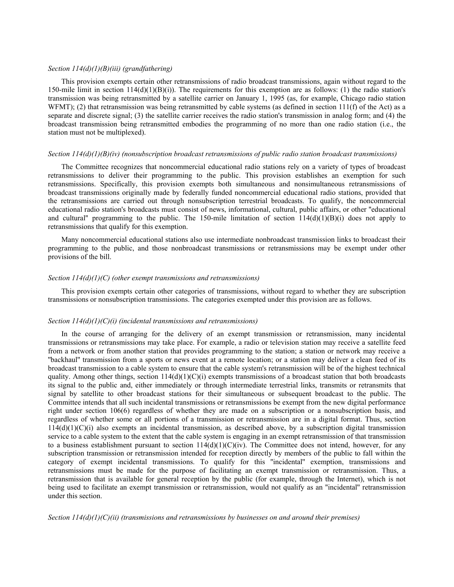## *Section 114(d)(1)(B)(iii) (grandfathering)*

This provision exempts certain other retransmissions of radio broadcast transmissions, again without regard to the 150-mile limit in section  $114(d)(1)(B)(i)$ . The requirements for this exemption are as follows: (1) the radio station's transmission was being retransmitted by a satellite carrier on January 1, 1995 (as, for example, Chicago radio station WFMT); (2) that retransmission was being retransmitted by cable systems (as defined in section  $111(f)$  of the Act) as a separate and discrete signal; (3) the satellite carrier receives the radio station's transmission in analog form; and (4) the broadcast transmission being retransmitted embodies the programming of no more than one radio station (i.e., the station must not be multiplexed).

### *Section 114(d)(1)(B)(iv) (nonsubscription broadcast retransmissions of public radio station broadcast transmissions)*

The Committee recognizes that noncommercial educational radio stations rely on a variety of types of broadcast retransmissions to deliver their programming to the public. This provision establishes an exemption for such retransmissions. Specifically, this provision exempts both simultaneous and nonsimultaneous retransmissions of broadcast transmissions originally made by federally funded noncommercial educational radio stations, provided that the retransmissions are carried out through nonsubscription terrestrial broadcasts. To qualify, the noncommercial educational radio station's broadcasts must consist of news, informational, cultural, public affairs, or other ''educational and cultural" programming to the public. The 150-mile limitation of section  $114(d)(1)(B)(i)$  does not apply to retransmissions that qualify for this exemption.

Many noncommercial educational stations also use intermediate nonbroadcast transmission links to broadcast their programming to the public, and those nonbroadcast transmissions or retransmissions may be exempt under other provisions of the bill.

# *Section 114(d)(1)(C) (other exempt transmissions and retransmissions)*

This provision exempts certain other categories of transmissions, without regard to whether they are subscription transmissions or nonsubscription transmissions. The categories exempted under this provision are as follows.

### *Section 114(d)(1)(C)(i) (incidental transmissions and retransmissions)*

In the course of arranging for the delivery of an exempt transmission or retransmission, many incidental transmissions or retransmissions may take place. For example, a radio or television station may receive a satellite feed from a network or from another station that provides programming to the station; a station or network may receive a ''backhaul'' transmission from a sports or news event at a remote location; or a station may deliver a clean feed of its broadcast transmission to a cable system to ensure that the cable system's retransmission will be of the highest technical quality. Among other things, section  $114(d)(1)(C)(i)$  exempts transmissions of a broadcast station that both broadcasts its signal to the public and, either immediately or through intermediate terrestrial links, transmits or retransmits that signal by satellite to other broadcast stations for their simultaneous or subsequent broadcast to the public. The Committee intends that all such incidental transmissions or retransmissions be exempt from the new digital performance right under section 106(6) regardless of whether they are made on a subscription or a nonsubscription basis, and regardless of whether some or all portions of a transmission or retransmission are in a digital format. Thus, section  $114(d)(1)(C)(i)$  also exempts an incidental transmission, as described above, by a subscription digital transmission service to a cable system to the extent that the cable system is engaging in an exempt retransmission of that transmission to a business establishment pursuant to section  $114(d)(1)(C)(iv)$ . The Committee does not intend, however, for any subscription transmission or retransmission intended for reception directly by members of the public to fall within the category of exempt incidental transmissions. To qualify for this ''incidental'' exemption, transmissions and retransmissions must be made for the purpose of facilitating an exempt transmission or retransmission. Thus, a retransmission that is available for general reception by the public (for example, through the Internet), which is not being used to facilitate an exempt transmission or retransmission, would not qualify as an ''incidental'' retransmission under this section.

*Section 114(d)(1)(C)(ii) (transmissions and retransmissions by businesses on and around their premises)*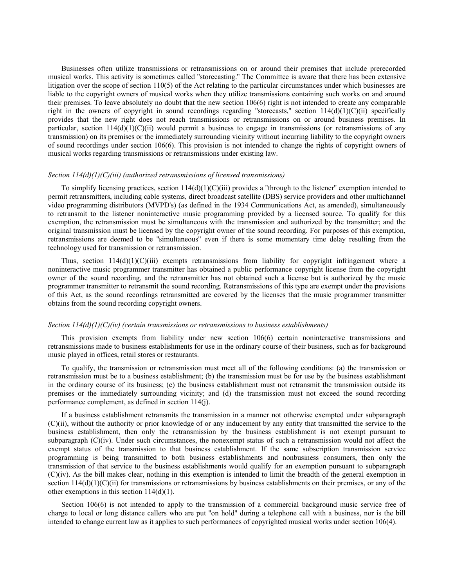Businesses often utilize transmissions or retransmissions on or around their premises that include prerecorded musical works. This activity is sometimes called ''storecasting.'' The Committee is aware that there has been extensive litigation over the scope of section 110(5) of the Act relating to the particular circumstances under which businesses are liable to the copyright owners of musical works when they utilize transmissions containing such works on and around their premises. To leave absolutely no doubt that the new section 106(6) right is not intended to create any comparable right in the owners of copyright in sound recordings regarding "storecasts," section  $114(d)(1)(C)(ii)$  specifically provides that the new right does not reach transmissions or retransmissions on or around business premises. In particular, section  $114(d)(1)(C)(ii)$  would permit a business to engage in transmissions (or retransmissions of any transmission) on its premises or the immediately surrounding vicinity without incurring liability to the copyright owners of sound recordings under section 106(6). This provision is not intended to change the rights of copyright owners of musical works regarding transmissions or retransmissions under existing law.

# *Section 114(d)(1)(C)(iii) (authorized retransmissions of licensed transmissions)*

To simplify licensing practices, section  $114(d)(1)(C)(iii)$  provides a "through to the listener" exemption intended to permit retransmitters, including cable systems, direct broadcast satellite (DBS) service providers and other multichannel video programming distributors (MVPD's) (as defined in the 1934 Communications Act, as amended), simultaneously to retransmit to the listener noninteractive music programming provided by a licensed source. To qualify for this exemption, the retransmission must be simultaneous with the transmission and authorized by the transmitter; and the original transmission must be licensed by the copyright owner of the sound recording. For purposes of this exemption, retransmissions are deemed to be ''simultaneous'' even if there is some momentary time delay resulting from the technology used for transmission or retransmission.

Thus, section  $114(d)(1)(C)(iii)$  exempts retransmissions from liability for copyright infringement where a noninteractive music programmer transmitter has obtained a public performance copyright license from the copyright owner of the sound recording, and the retransmitter has not obtained such a license but is authorized by the music programmer transmitter to retransmit the sound recording. Retransmissions of this type are exempt under the provisions of this Act, as the sound recordings retransmitted are covered by the licenses that the music programmer transmitter obtains from the sound recording copyright owners.

### *Section 114(d)(1)(C)(iv) (certain transmissions or retransmissions to business establishments)*

This provision exempts from liability under new section 106(6) certain noninteractive transmissions and retransmissions made to business establishments for use in the ordinary course of their business, such as for background music played in offices, retail stores or restaurants.

To qualify, the transmission or retransmission must meet all of the following conditions: (a) the transmission or retransmission must be to a business establishment; (b) the transmission must be for use by the business establishment in the ordinary course of its business; (c) the business establishment must not retransmit the transmission outside its premises or the immediately surrounding vicinity; and (d) the transmission must not exceed the sound recording performance complement, as defined in section 114(j).

If a business establishment retransmits the transmission in a manner not otherwise exempted under subparagraph (C)(ii), without the authority or prior knowledge of or any inducement by any entity that transmitted the service to the business establishment, then only the retransmission by the business establishment is not exempt pursuant to subparagraph  $(C)(iv)$ . Under such circumstances, the nonexempt status of such a retransmission would not affect the exempt status of the transmission to that business establishment. If the same subscription transmission service programming is being transmitted to both business establishments and nonbusiness consumers, then only the transmission of that service to the business establishments would qualify for an exemption pursuant to subparagraph (C)(iv). As the bill makes clear, nothing in this exemption is intended to limit the breadth of the general exemption in section  $114(d)(1)(C)(ii)$  for transmissions or retransmissions by business establishments on their premises, or any of the other exemptions in this section 114(d)(1).

Section 106(6) is not intended to apply to the transmission of a commercial background music service free of charge to local or long distance callers who are put ''on hold'' during a telephone call with a business, nor is the bill intended to change current law as it applies to such performances of copyrighted musical works under section 106(4).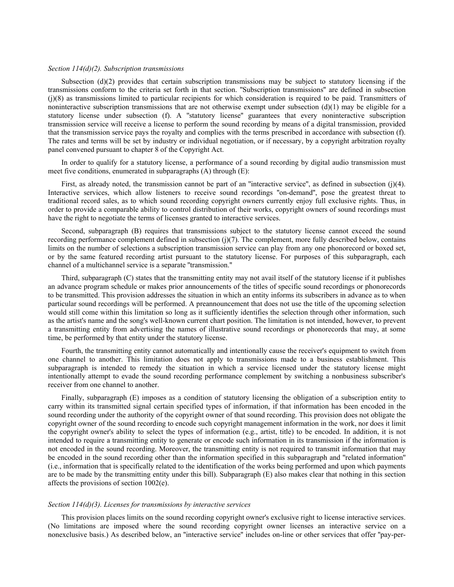# *Section 114(d)(2). Subscription transmissions*

Subsection (d)(2) provides that certain subscription transmissions may be subject to statutory licensing if the transmissions conform to the criteria set forth in that section. ''Subscription transmissions'' are defined in subsection (j)(8) as transmissions limited to particular recipients for which consideration is required to be paid. Transmitters of noninteractive subscription transmissions that are not otherwise exempt under subsection  $(d)(1)$  may be eligible for a statutory license under subsection (f). A ''statutory license'' guarantees that every noninteractive subscription transmission service will receive a license to perform the sound recording by means of a digital transmission, provided that the transmission service pays the royalty and complies with the terms prescribed in accordance with subsection (f). The rates and terms will be set by industry or individual negotiation, or if necessary, by a copyright arbitration royalty panel convened pursuant to chapter 8 of the Copyright Act.

In order to qualify for a statutory license, a performance of a sound recording by digital audio transmission must meet five conditions, enumerated in subparagraphs (A) through (E):

First, as already noted, the transmission cannot be part of an "interactive service", as defined in subsection (j)(4). Interactive services, which allow listeners to receive sound recordings ''on-demand'', pose the greatest threat to traditional record sales, as to which sound recording copyright owners currently enjoy full exclusive rights. Thus, in order to provide a comparable ability to control distribution of their works, copyright owners of sound recordings must have the right to negotiate the terms of licenses granted to interactive services.

Second, subparagraph (B) requires that transmissions subject to the statutory license cannot exceed the sound recording performance complement defined in subsection  $(j)(7)$ . The complement, more fully described below, contains limits on the number of selections a subscription transmission service can play from any one phonorecord or boxed set, or by the same featured recording artist pursuant to the statutory license. For purposes of this subparagraph, each channel of a multichannel service is a separate ''transmission.''

Third, subparagraph (C) states that the transmitting entity may not avail itself of the statutory license if it publishes an advance program schedule or makes prior announcements of the titles of specific sound recordings or phonorecords to be transmitted. This provision addresses the situation in which an entity informs its subscribers in advance as to when particular sound recordings will be performed. A preannouncement that does not use the title of the upcoming selection would still come within this limitation so long as it sufficiently identifies the selection through other information, such as the artist's name and the song's well-known current chart position. The limitation is not intended, however, to prevent a transmitting entity from advertising the names of illustrative sound recordings or phonorecords that may, at some time, be performed by that entity under the statutory license.

Fourth, the transmitting entity cannot automatically and intentionally cause the receiver's equipment to switch from one channel to another. This limitation does not apply to transmissions made to a business establishment. This subparagraph is intended to remedy the situation in which a service licensed under the statutory license might intentionally attempt to evade the sound recording performance complement by switching a nonbusiness subscriber's receiver from one channel to another.

Finally, subparagraph (E) imposes as a condition of statutory licensing the obligation of a subscription entity to carry within its transmitted signal certain specified types of information, if that information has been encoded in the sound recording under the authority of the copyright owner of that sound recording. This provision does not obligate the copyright owner of the sound recording to encode such copyright management information in the work, nor does it limit the copyright owner's ability to select the types of information (e.g., artist, title) to be encoded. In addition, it is not intended to require a transmitting entity to generate or encode such information in its transmission if the information is not encoded in the sound recording. Moreover, the transmitting entity is not required to transmit information that may be encoded in the sound recording other than the information specified in this subparagraph and ''related information'' (i.e., information that is specifically related to the identification of the works being performed and upon which payments are to be made by the transmitting entity under this bill). Subparagraph (E) also makes clear that nothing in this section affects the provisions of section 1002(e).

### *Section 114(d)(3). Licenses for transmissions by interactive services*

This provision places limits on the sound recording copyright owner's exclusive right to license interactive services. (No limitations are imposed where the sound recording copyright owner licenses an interactive service on a nonexclusive basis.) As described below, an ''interactive service'' includes on-line or other services that offer ''pay-per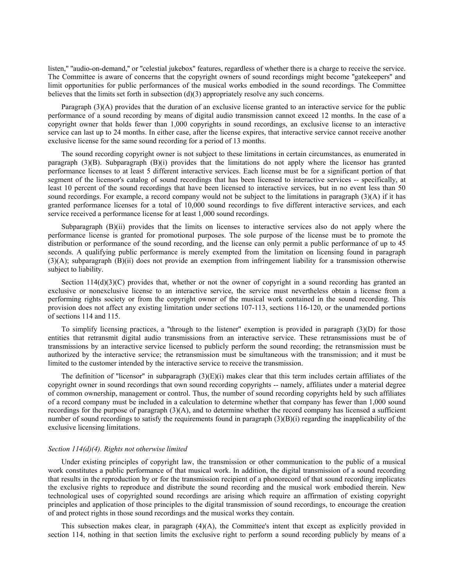listen," "audio-on-demand," or "celestial jukebox" features, regardless of whether there is a charge to receive the service. The Committee is aware of concerns that the copyright owners of sound recordings might become ''gatekeepers'' and limit opportunities for public performances of the musical works embodied in the sound recordings. The Committee believes that the limits set forth in subsection (d)(3) appropriately resolve any such concerns.

Paragraph (3)(A) provides that the duration of an exclusive license granted to an interactive service for the public performance of a sound recording by means of digital audio transmission cannot exceed 12 months. In the case of a copyright owner that holds fewer than 1,000 copyrights in sound recordings, an exclusive license to an interactive service can last up to 24 months. In either case, after the license expires, that interactive service cannot receive another exclusive license for the same sound recording for a period of 13 months.

The sound recording copyright owner is not subject to these limitations in certain circumstances, as enumerated in paragraph  $(3)(B)$ . Subparagraph  $(B)(i)$  provides that the limitations do not apply where the licensor has granted performance licenses to at least 5 different interactive services. Each license must be for a significant portion of that segment of the licensor's catalog of sound recordings that has been licensed to interactive services -- specifically, at least 10 percent of the sound recordings that have been licensed to interactive services, but in no event less than 50 sound recordings. For example, a record company would not be subject to the limitations in paragraph (3)(A) if it has granted performance licenses for a total of 10,000 sound recordings to five different interactive services, and each service received a performance license for at least 1,000 sound recordings.

Subparagraph (B)(ii) provides that the limits on licenses to interactive services also do not apply where the performance license is granted for promotional purposes. The sole purpose of the license must be to promote the distribution or performance of the sound recording, and the license can only permit a public performance of up to 45 seconds. A qualifying public performance is merely exempted from the limitation on licensing found in paragraph (3)(A); subparagraph (B)(ii) does not provide an exemption from infringement liability for a transmission otherwise subject to liability.

Section  $114(d)(3)(C)$  provides that, whether or not the owner of copyright in a sound recording has granted an exclusive or nonexclusive license to an interactive service, the service must nevertheless obtain a license from a performing rights society or from the copyright owner of the musical work contained in the sound recording. This provision does not affect any existing limitation under sections 107-113, sections 116-120, or the unamended portions of sections 114 and 115.

To simplify licensing practices, a ''through to the listener'' exemption is provided in paragraph (3)(D) for those entities that retransmit digital audio transmissions from an interactive service. These retransmissions must be of transmissions by an interactive service licensed to publicly perform the sound recording; the retransmission must be authorized by the interactive service; the retransmission must be simultaneous with the transmission; and it must be limited to the customer intended by the interactive service to receive the transmission.

The definition of "licensor" in subparagraph  $(3)(E)(i)$  makes clear that this term includes certain affiliates of the copyright owner in sound recordings that own sound recording copyrights -- namely, affiliates under a material degree of common ownership, management or control. Thus, the number of sound recording copyrights held by such affiliates of a record company must be included in a calculation to determine whether that company has fewer than 1,000 sound recordings for the purpose of paragraph  $(3)(A)$ , and to determine whether the record company has licensed a sufficient number of sound recordings to satisfy the requirements found in paragraph  $(3)(B)(i)$  regarding the inapplicability of the exclusive licensing limitations.

# *Section 114(d)(4). Rights not otherwise limited*

Under existing principles of copyright law, the transmission or other communication to the public of a musical work constitutes a public performance of that musical work. In addition, the digital transmission of a sound recording that results in the reproduction by or for the transmission recipient of a phonorecord of that sound recording implicates the exclusive rights to reproduce and distribute the sound recording and the musical work embodied therein. New technological uses of copyrighted sound recordings are arising which require an affirmation of existing copyright principles and application of those principles to the digital transmission of sound recordings, to encourage the creation of and protect rights in those sound recordings and the musical works they contain.

This subsection makes clear, in paragraph (4)(A), the Committee's intent that except as explicitly provided in section 114, nothing in that section limits the exclusive right to perform a sound recording publicly by means of a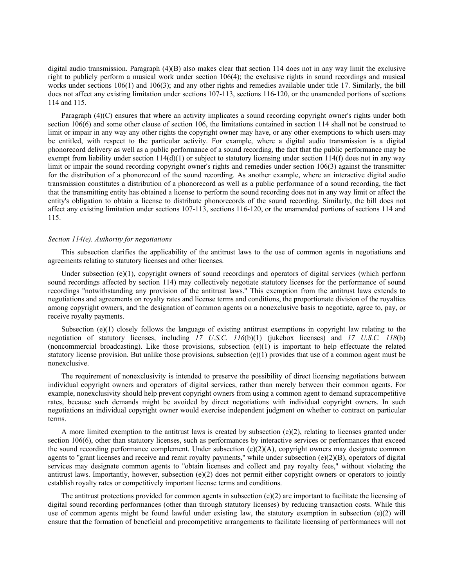digital audio transmission. Paragraph (4)(B) also makes clear that section 114 does not in any way limit the exclusive right to publicly perform a musical work under section 106(4); the exclusive rights in sound recordings and musical works under sections 106(1) and 106(3); and any other rights and remedies available under title 17. Similarly, the bill does not affect any existing limitation under sections 107-113, sections 116-120, or the unamended portions of sections 114 and 115.

Paragraph (4)(C) ensures that where an activity implicates a sound recording copyright owner's rights under both section 106(6) and some other clause of section 106, the limitations contained in section 114 shall not be construed to limit or impair in any way any other rights the copyright owner may have, or any other exemptions to which users may be entitled, with respect to the particular activity. For example, where a digital audio transmission is a digital phonorecord delivery as well as a public performance of a sound recording, the fact that the public performance may be exempt from liability under section  $114(d)(1)$  or subject to statutory licensing under section  $114(f)$  does not in any way limit or impair the sound recording copyright owner's rights and remedies under section 106(3) against the transmitter for the distribution of a phonorecord of the sound recording. As another example, where an interactive digital audio transmission constitutes a distribution of a phonorecord as well as a public performance of a sound recording, the fact that the transmitting entity has obtained a license to perform the sound recording does not in any way limit or affect the entity's obligation to obtain a license to distribute phonorecords of the sound recording. Similarly, the bill does not affect any existing limitation under sections 107-113, sections 116-120, or the unamended portions of sections 114 and 115.

### *Section 114(e). Authority for negotiations*

This subsection clarifies the applicability of the antitrust laws to the use of common agents in negotiations and agreements relating to statutory licenses and other licenses.

Under subsection (e)(1), copyright owners of sound recordings and operators of digital services (which perform sound recordings affected by section 114) may collectively negotiate statutory licenses for the performance of sound recordings ''notwithstanding any provision of the antitrust laws.'' This exemption from the antitrust laws extends to negotiations and agreements on royalty rates and license terms and conditions, the proportionate division of the royalties among copyright owners, and the designation of common agents on a nonexclusive basis to negotiate, agree to, pay, or receive royalty payments.

Subsection (e)(1) closely follows the language of existing antitrust exemptions in copyright law relating to the negotiation of statutory licenses, including *17 U.S.C. 116*(b)(1) (jukebox licenses) and *17 U.S.C. 118*(b) (noncommercial broadcasting). Like those provisions, subsection  $(e)(1)$  is important to help effectuate the related statutory license provision. But unlike those provisions, subsection  $(e)(1)$  provides that use of a common agent must be nonexclusive.

The requirement of nonexclusivity is intended to preserve the possibility of direct licensing negotiations between individual copyright owners and operators of digital services, rather than merely between their common agents. For example, nonexclusivity should help prevent copyright owners from using a common agent to demand supracompetitive rates, because such demands might be avoided by direct negotiations with individual copyright owners. In such negotiations an individual copyright owner would exercise independent judgment on whether to contract on particular terms.

A more limited exemption to the antitrust laws is created by subsection  $(e)(2)$ , relating to licenses granted under section 106(6), other than statutory licenses, such as performances by interactive services or performances that exceed the sound recording performance complement. Under subsection  $(e)(2)(A)$ , copyright owners may designate common agents to "grant licenses and receive and remit royalty payments," while under subsection  $(e)(2)(B)$ , operators of digital services may designate common agents to ''obtain licenses and collect and pay royalty fees,'' without violating the antitrust laws. Importantly, however, subsection  $(e)(2)$  does not permit either copyright owners or operators to jointly establish royalty rates or competitively important license terms and conditions.

The antitrust protections provided for common agents in subsection  $(e)(2)$  are important to facilitate the licensing of digital sound recording performances (other than through statutory licenses) by reducing transaction costs. While this use of common agents might be found lawful under existing law, the statutory exemption in subsection (e)(2) will ensure that the formation of beneficial and procompetitive arrangements to facilitate licensing of performances will not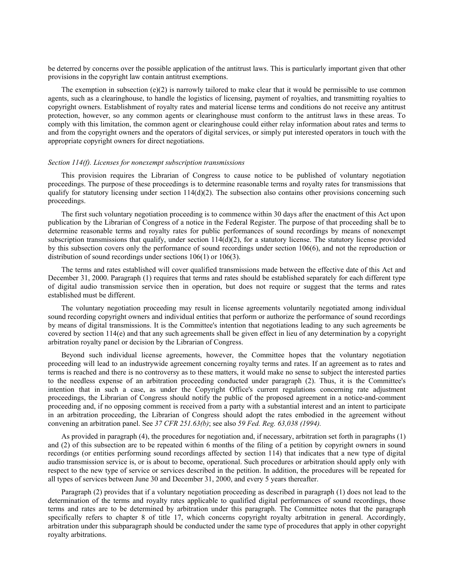be deterred by concerns over the possible application of the antitrust laws. This is particularly important given that other provisions in the copyright law contain antitrust exemptions.

The exemption in subsection  $(e)(2)$  is narrowly tailored to make clear that it would be permissible to use common agents, such as a clearinghouse, to handle the logistics of licensing, payment of royalties, and transmitting royalties to copyright owners. Establishment of royalty rates and material license terms and conditions do not receive any antitrust protection, however, so any common agents or clearinghouse must conform to the antitrust laws in these areas. To comply with this limitation, the common agent or clearinghouse could either relay information about rates and terms to and from the copyright owners and the operators of digital services, or simply put interested operators in touch with the appropriate copyright owners for direct negotiations.

# *Section 114(f). Licenses for nonexempt subscription transmissions*

This provision requires the Librarian of Congress to cause notice to be published of voluntary negotiation proceedings. The purpose of these proceedings is to determine reasonable terms and royalty rates for transmissions that qualify for statutory licensing under section  $114(d)(2)$ . The subsection also contains other provisions concerning such proceedings.

The first such voluntary negotiation proceeding is to commence within 30 days after the enactment of this Act upon publication by the Librarian of Congress of a notice in the Federal Register. The purpose of that proceeding shall be to determine reasonable terms and royalty rates for public performances of sound recordings by means of nonexempt subscription transmissions that qualify, under section  $114(d)(2)$ , for a statutory license. The statutory license provided by this subsection covers only the performance of sound recordings under section 106(6), and not the reproduction or distribution of sound recordings under sections 106(1) or 106(3).

The terms and rates established will cover qualified transmissions made between the effective date of this Act and December 31, 2000. Paragraph (1) requires that terms and rates should be established separately for each different type of digital audio transmission service then in operation, but does not require or suggest that the terms and rates established must be different.

The voluntary negotiation proceeding may result in license agreements voluntarily negotiated among individual sound recording copyright owners and individual entities that perform or authorize the performance of sound recordings by means of digital transmissions. It is the Committee's intention that negotiations leading to any such agreements be covered by section 114(e) and that any such agreements shall be given effect in lieu of any determination by a copyright arbitration royalty panel or decision by the Librarian of Congress.

Beyond such individual license agreements, however, the Committee hopes that the voluntary negotiation proceeding will lead to an industrywide agreement concerning royalty terms and rates. If an agreement as to rates and terms is reached and there is no controversy as to these matters, it would make no sense to subject the interested parties to the needless expense of an arbitration proceeding conducted under paragraph (2). Thus, it is the Committee's intention that in such a case, as under the Copyright Office's current regulations concerning rate adjustment proceedings, the Librarian of Congress should notify the public of the proposed agreement in a notice-and-comment proceeding and, if no opposing comment is received from a party with a substantial interest and an intent to participate in an arbitration proceeding, the Librarian of Congress should adopt the rates embodied in the agreement without convening an arbitration panel. See *37 CFR 251.63(b)*; see also *59 Fed. Reg. 63,038 (1994).*

As provided in paragraph (4), the procedures for negotiation and, if necessary, arbitration set forth in paragraphs (1) and (2) of this subsection are to be repeated within 6 months of the filing of a petition by copyright owners in sound recordings (or entities performing sound recordings affected by section 114) that indicates that a new type of digital audio transmission service is, or is about to become, operational. Such procedures or arbitration should apply only with respect to the new type of service or services described in the petition. In addition, the procedures will be repeated for all types of services between June 30 and December 31, 2000, and every 5 years thereafter.

Paragraph (2) provides that if a voluntary negotiation proceeding as described in paragraph (1) does not lead to the determination of the terms and royalty rates applicable to qualified digital performances of sound recordings, those terms and rates are to be determined by arbitration under this paragraph. The Committee notes that the paragraph specifically refers to chapter 8 of title 17, which concerns copyright royalty arbitration in general. Accordingly, arbitration under this subparagraph should be conducted under the same type of procedures that apply in other copyright royalty arbitrations.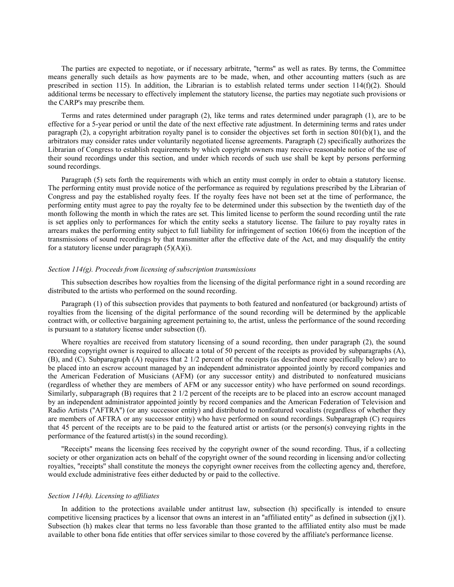The parties are expected to negotiate, or if necessary arbitrate, ''terms'' as well as rates. By terms, the Committee means generally such details as how payments are to be made, when, and other accounting matters (such as are prescribed in section 115). In addition, the Librarian is to establish related terms under section  $114(f)(2)$ . Should additional terms be necessary to effectively implement the statutory license, the parties may negotiate such provisions or the CARP's may prescribe them.

Terms and rates determined under paragraph (2), like terms and rates determined under paragraph (1), are to be effective for a 5-year period or until the date of the next effective rate adjustment. In determining terms and rates under paragraph (2), a copyright arbitration royalty panel is to consider the objectives set forth in section 801(b)(1), and the arbitrators may consider rates under voluntarily negotiated license agreements. Paragraph (2) specifically authorizes the Librarian of Congress to establish requirements by which copyright owners may receive reasonable notice of the use of their sound recordings under this section, and under which records of such use shall be kept by persons performing sound recordings.

Paragraph (5) sets forth the requirements with which an entity must comply in order to obtain a statutory license. The performing entity must provide notice of the performance as required by regulations prescribed by the Librarian of Congress and pay the established royalty fees. If the royalty fees have not been set at the time of performance, the performing entity must agree to pay the royalty fee to be determined under this subsection by the twentieth day of the month following the month in which the rates are set. This limited license to perform the sound recording until the rate is set applies only to performances for which the entity seeks a statutory license. The failure to pay royalty rates in arrears makes the performing entity subject to full liability for infringement of section 106(6) from the inception of the transmissions of sound recordings by that transmitter after the effective date of the Act, and may disqualify the entity for a statutory license under paragraph  $(5)(A)(i)$ .

## *Section 114(g). Proceeds from licensing of subscription transmissions*

This subsection describes how royalties from the licensing of the digital performance right in a sound recording are distributed to the artists who performed on the sound recording.

Paragraph (1) of this subsection provides that payments to both featured and nonfeatured (or background) artists of royalties from the licensing of the digital performance of the sound recording will be determined by the applicable contract with, or collective bargaining agreement pertaining to, the artist, unless the performance of the sound recording is pursuant to a statutory license under subsection (f).

Where royalties are received from statutory licensing of a sound recording, then under paragraph (2), the sound recording copyright owner is required to allocate a total of 50 percent of the receipts as provided by subparagraphs (A), (B), and (C). Subparagraph (A) requires that 2 1/2 percent of the receipts (as described more specifically below) are to be placed into an escrow account managed by an independent administrator appointed jointly by record companies and the American Federation of Musicians (AFM) (or any successor entity) and distributed to nonfeatured musicians (regardless of whether they are members of AFM or any successor entity) who have performed on sound recordings. Similarly, subparagraph (B) requires that 2 1/2 percent of the receipts are to be placed into an escrow account managed by an independent administrator appointed jointly by record companies and the American Federation of Television and Radio Artists (''AFTRA'') (or any successor entity) and distributed to nonfeatured vocalists (regardless of whether they are members of AFTRA or any successor entity) who have performed on sound recordings. Subparagraph (C) requires that 45 percent of the receipts are to be paid to the featured artist or artists (or the person(s) conveying rights in the performance of the featured artist(s) in the sound recording).

''Receipts'' means the licensing fees received by the copyright owner of the sound recording. Thus, if a collecting society or other organization acts on behalf of the copyright owner of the sound recording in licensing and/or collecting royalties, ''receipts'' shall constitute the moneys the copyright owner receives from the collecting agency and, therefore, would exclude administrative fees either deducted by or paid to the collective.

## *Section 114(h). Licensing to affiliates*

In addition to the protections available under antitrust law, subsection (h) specifically is intended to ensure competitive licensing practices by a licensor that owns an interest in an ''affiliated entity'' as defined in subsection (j)(1). Subsection (h) makes clear that terms no less favorable than those granted to the affiliated entity also must be made available to other bona fide entities that offer services similar to those covered by the affiliate's performance license.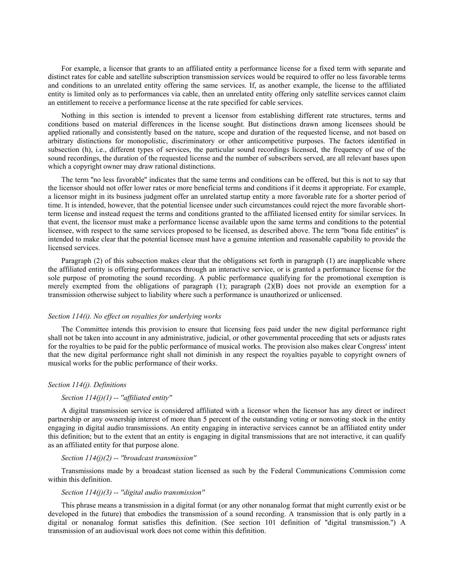For example, a licensor that grants to an affiliated entity a performance license for a fixed term with separate and distinct rates for cable and satellite subscription transmission services would be required to offer no less favorable terms and conditions to an unrelated entity offering the same services. If, as another example, the license to the affiliated entity is limited only as to performances via cable, then an unrelated entity offering only satellite services cannot claim an entitlement to receive a performance license at the rate specified for cable services.

Nothing in this section is intended to prevent a licensor from establishing different rate structures, terms and conditions based on material differences in the license sought. But distinctions drawn among licensees should be applied rationally and consistently based on the nature, scope and duration of the requested license, and not based on arbitrary distinctions for monopolistic, discriminatory or other anticompetitive purposes. The factors identified in subsection (h), i.e., different types of services, the particular sound recordings licensed, the frequency of use of the sound recordings, the duration of the requested license and the number of subscribers served, are all relevant bases upon which a copyright owner may draw rational distinctions.

The term ''no less favorable'' indicates that the same terms and conditions can be offered, but this is not to say that the licensor should not offer lower rates or more beneficial terms and conditions if it deems it appropriate. For example, a licensor might in its business judgment offer an unrelated startup entity a more favorable rate for a shorter period of time. It is intended, however, that the potential licensee under such circumstances could reject the more favorable shortterm license and instead request the terms and conditions granted to the affiliated licensed entity for similar services. In that event, the licensor must make a performance license available upon the same terms and conditions to the potential licensee, with respect to the same services proposed to be licensed, as described above. The term ''bona fide entities'' is intended to make clear that the potential licensee must have a genuine intention and reasonable capability to provide the licensed services.

Paragraph (2) of this subsection makes clear that the obligations set forth in paragraph (1) are inapplicable where the affiliated entity is offering performances through an interactive service, or is granted a performance license for the sole purpose of promoting the sound recording. A public performance qualifying for the promotional exemption is merely exempted from the obligations of paragraph (1); paragraph (2)(B) does not provide an exemption for a transmission otherwise subject to liability where such a performance is unauthorized or unlicensed.

### *Section 114(i). No effect on royalties for underlying works*

The Committee intends this provision to ensure that licensing fees paid under the new digital performance right shall not be taken into account in any administrative, judicial, or other governmental proceeding that sets or adjusts rates for the royalties to be paid for the public performance of musical works. The provision also makes clear Congress' intent that the new digital performance right shall not diminish in any respect the royalties payable to copyright owners of musical works for the public performance of their works.

### *Section 114(j). Definitions*

# *Section 114(j)(1) -- ''affiliated entity''*

A digital transmission service is considered affiliated with a licensor when the licensor has any direct or indirect partnership or any ownership interest of more than 5 percent of the outstanding voting or nonvoting stock in the entity engaging in digital audio transmissions. An entity engaging in interactive services cannot be an affiliated entity under this definition; but to the extent that an entity is engaging in digital transmissions that are not interactive, it can qualify as an affiliated entity for that purpose alone.

# *Section 114(j)(2) -- ''broadcast transmission''*

Transmissions made by a broadcast station licensed as such by the Federal Communications Commission come within this definition.

## *Section 114(j)(3) -- ''digital audio transmission''*

This phrase means a transmission in a digital format (or any other nonanalog format that might currently exist or be developed in the future) that embodies the transmission of a sound recording. A transmission that is only partly in a digital or nonanalog format satisfies this definition. (See section 101 definition of ''digital transmission.'') A transmission of an audiovisual work does not come within this definition.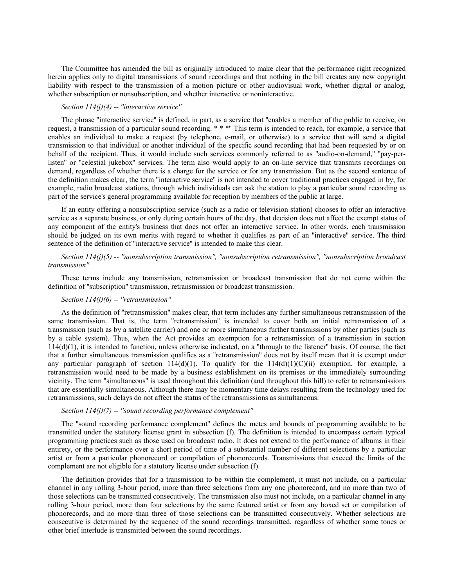The Committee has amended the bill as originally introduced to make clear that the performance right recognized herein applies only to digital transmissions of sound recordings and that nothing in the bill creates any new copyright liability with respect to the transmission of a motion picture or other audiovisual work, whether digital or analog, whether subscription or nonsubscription, and whether interactive or noninteractive.

# *Section 114(j)(4) -- ''interactive service''*

The phrase ''interactive service'' is defined, in part, as a service that ''enables a member of the public to receive, on request, a transmission of a particular sound recording. \* \* \*'' This term is intended to reach, for example, a service that enables an individual to make a request (by telephone, e-mail, or otherwise) to a service that will send a digital transmission to that individual or another individual of the specific sound recording that had been requested by or on behalf of the recipient. Thus, it would include such services commonly referred to as "audio-on-demand," "pay-perlisten'' or ''celestial jukebox'' services. The term also would apply to an on-line service that transmits recordings on demand, regardless of whether there is a charge for the service or for any transmission. But as the second sentence of the definition makes clear, the term ''interactive service'' is not intended to cover traditional practices engaged in by, for example, radio broadcast stations, through which individuals can ask the station to play a particular sound recording as part of the service's general programming available for reception by members of the public at large.

If an entity offering a nonsubscription service (such as a radio or television station) chooses to offer an interactive service as a separate business, or only during certain hours of the day, that decision does not affect the exempt status of any component of the entity's business that does not offer an interactive service. In other words, each transmission should be judged on its own merits with regard to whether it qualifies as part of an ''interactive'' service. The third sentence of the definition of ''interactive service'' is intended to make this clear.

# *Section 114(j)(5) -- ''nonsubscription transmission'', ''nonsubscription retransmission'', ''nonsubscription broadcast transmission''*

These terms include any transmission, retransmission or broadcast transmission that do not come within the definition of ''subscription'' transmission, retransmission or broadcast transmission.

### *Section 114(j)(6) -- ''retransmission''*

As the definition of ''retransmission'' makes clear, that term includes any further simultaneous retransmission of the same transmission. That is, the term ''retransmission'' is intended to cover both an initial retransmission of a transmission (such as by a satellite carrier) and one or more simultaneous further transmissions by other parties (such as by a cable system). Thus, when the Act provides an exemption for a retransmission of a transmission in section 114(d)(1), it is intended to function, unless otherwise indicated, on a ''through to the listener'' basis. Of course, the fact that a further simultaneous transmission qualifies as a ''retransmission'' does not by itself mean that it is exempt under any particular paragraph of section  $114(d)(1)$ . To qualify for the  $114(d)(1)(C)(ii)$  exemption, for example, a retransmission would need to be made by a business establishment on its premises or the immediately surrounding vicinity. The term ''simultaneous'' is used throughout this definition (and throughout this bill) to refer to retransmissions that are essentially simultaneous. Although there may be momentary time delays resulting from the technology used for retransmissions, such delays do not affect the status of the retransmissions as simultaneous.

#### *Section 114(j)(7) -- ''sound recording performance complement''*

The ''sound recording performance complement'' defines the metes and bounds of programming available to be transmitted under the statutory license grant in subsection (f). The definition is intended to encompass certain typical programming practices such as those used on broadcast radio. It does not extend to the performance of albums in their entirety, or the performance over a short period of time of a substantial number of different selections by a particular artist or from a particular phonorecord or compilation of phonorecords. Transmissions that exceed the limits of the complement are not eligible for a statutory license under subsection (f).

The definition provides that for a transmission to be within the complement, it must not include, on a particular channel in any rolling 3-hour period, more than three selections from any one phonorecord, and no more than two of those selections can be transmitted consecutively. The transmission also must not include, on a particular channel in any rolling 3-hour period, more than four selections by the same featured artist or from any boxed set or compilation of phonorecords, and no more than three of those selections can be transmitted consecutively. Whether selections are consecutive is determined by the sequence of the sound recordings transmitted, regardless of whether some tones or other brief interlude is transmitted between the sound recordings.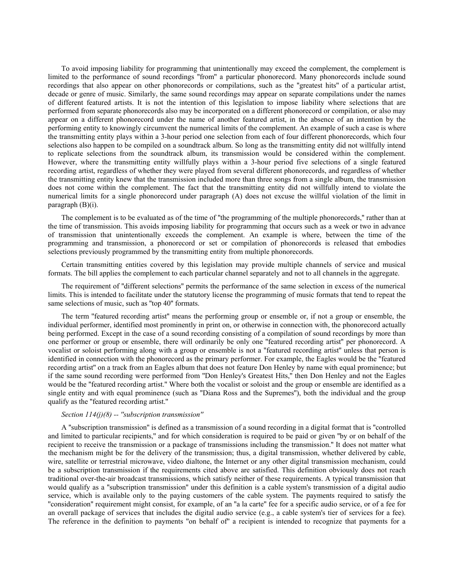To avoid imposing liability for programming that unintentionally may exceed the complement, the complement is limited to the performance of sound recordings ''from'' a particular phonorecord. Many phonorecords include sound recordings that also appear on other phonorecords or compilations, such as the ''greatest hits'' of a particular artist, decade or genre of music. Similarly, the same sound recordings may appear on separate compilations under the names of different featured artists. It is not the intention of this legislation to impose liability where selections that are performed from separate phonorecords also may be incorporated on a different phonorecord or compilation, or also may appear on a different phonorecord under the name of another featured artist, in the absence of an intention by the performing entity to knowingly circumvent the numerical limits of the complement. An example of such a case is where the transmitting entity plays within a 3-hour period one selection from each of four different phonorecords, which four selections also happen to be compiled on a soundtrack album. So long as the transmitting entity did not willfully intend to replicate selections from the soundtrack album, its transmission would be considered within the complement. However, where the transmitting entity willfully plays within a 3-hour period five selections of a single featured recording artist, regardless of whether they were played from several different phonorecords, and regardless of whether the transmitting entity knew that the transmission included more than three songs from a single album, the transmission does not come within the complement. The fact that the transmitting entity did not willfully intend to violate the numerical limits for a single phonorecord under paragraph (A) does not excuse the willful violation of the limit in paragraph (B)(i).

The complement is to be evaluated as of the time of "the programming of the multiple phonorecords," rather than at the time of transmission. This avoids imposing liability for programming that occurs such as a week or two in advance of transmission that unintentionally exceeds the complement. An example is where, between the time of the programming and transmission, a phonorecord or set or compilation of phonorecords is released that embodies selections previously programmed by the transmitting entity from multiple phonorecords.

Certain transmitting entities covered by this legislation may provide multiple channels of service and musical formats. The bill applies the complement to each particular channel separately and not to all channels in the aggregate.

The requirement of ''different selections'' permits the performance of the same selection in excess of the numerical limits. This is intended to facilitate under the statutory license the programming of music formats that tend to repeat the same selections of music, such as ''top 40'' formats.

The term ''featured recording artist'' means the performing group or ensemble or, if not a group or ensemble, the individual performer, identified most prominently in print on, or otherwise in connection with, the phonorecord actually being performed. Except in the case of a sound recording consisting of a compilation of sound recordings by more than one performer or group or ensemble, there will ordinarily be only one ''featured recording artist'' per phonorecord. A vocalist or soloist performing along with a group or ensemble is not a ''featured recording artist'' unless that person is identified in connection with the phonorecord as the primary performer. For example, the Eagles would be the ''featured recording artist'' on a track from an Eagles album that does not feature Don Henley by name with equal prominence; but if the same sound recording were performed from ''Don Henley's Greatest Hits,'' then Don Henley and not the Eagles would be the ''featured recording artist.'' Where both the vocalist or soloist and the group or ensemble are identified as a single entity and with equal prominence (such as ''Diana Ross and the Supremes''), both the individual and the group qualify as the ''featured recording artist.''

### *Section 114(j)(8) -- ''subscription transmission''*

A ''subscription transmission'' is defined as a transmission of a sound recording in a digital format that is ''controlled and limited to particular recipients,'' and for which consideration is required to be paid or given ''by or on behalf of the recipient to receive the transmission or a package of transmissions including the transmission.'' It does not matter what the mechanism might be for the delivery of the transmission; thus, a digital transmission, whether delivered by cable, wire, satellite or terrestrial microwave, video dialtone, the Internet or any other digital transmission mechanism, could be a subscription transmission if the requirements cited above are satisfied. This definition obviously does not reach traditional over-the-air broadcast transmissions, which satisfy neither of these requirements. A typical transmission that would qualify as a ''subscription transmission'' under this definition is a cable system's transmission of a digital audio service, which is available only to the paying customers of the cable system. The payments required to satisfy the ''consideration'' requirement might consist, for example, of an ''a la carte'' fee for a specific audio service, or of a fee for an overall package of services that includes the digital audio service  $(e.g., a$  cable system's tier of services for a fee). The reference in the definition to payments "on behalf of" a recipient is intended to recognize that payments for a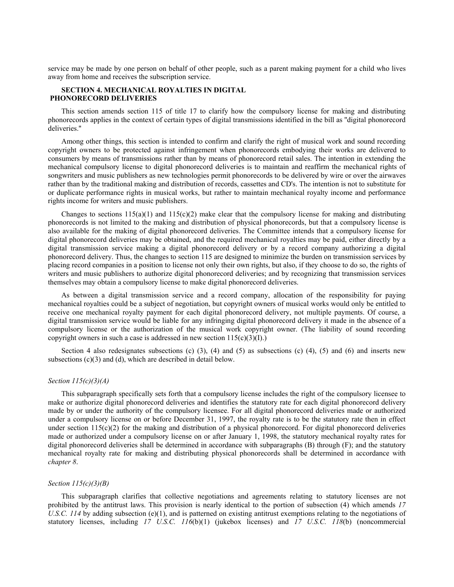service may be made by one person on behalf of other people, such as a parent making payment for a child who lives away from home and receives the subscription service.

# **SECTION 4. MECHANICAL ROYALTIES IN DIGITAL PHONORECORD DELIVERIES**

This section amends section 115 of title 17 to clarify how the compulsory license for making and distributing phonorecords applies in the context of certain types of digital transmissions identified in the bill as ''digital phonorecord deliveries.''

Among other things, this section is intended to confirm and clarify the right of musical work and sound recording copyright owners to be protected against infringement when phonorecords embodying their works are delivered to consumers by means of transmissions rather than by means of phonorecord retail sales. The intention in extending the mechanical compulsory license to digital phonorecord deliveries is to maintain and reaffirm the mechanical rights of songwriters and music publishers as new technologies permit phonorecords to be delivered by wire or over the airwaves rather than by the traditional making and distribution of records, cassettes and CD's. The intention is not to substitute for or duplicate performance rights in musical works, but rather to maintain mechanical royalty income and performance rights income for writers and music publishers.

Changes to sections  $115(a)(1)$  and  $115(c)(2)$  make clear that the compulsory license for making and distributing phonorecords is not limited to the making and distribution of physical phonorecords, but that a compulsory license is also available for the making of digital phonorecord deliveries. The Committee intends that a compulsory license for digital phonorecord deliveries may be obtained, and the required mechanical royalties may be paid, either directly by a digital transmission service making a digital phonorecord delivery or by a record company authorizing a digital phonorecord delivery. Thus, the changes to section 115 are designed to minimize the burden on transmission services by placing record companies in a position to license not only their own rights, but also, if they choose to do so, the rights of writers and music publishers to authorize digital phonorecord deliveries; and by recognizing that transmission services themselves may obtain a compulsory license to make digital phonorecord deliveries.

As between a digital transmission service and a record company, allocation of the responsibility for paying mechanical royalties could be a subject of negotiation, but copyright owners of musical works would only be entitled to receive one mechanical royalty payment for each digital phonorecord delivery, not multiple payments. Of course, a digital transmission service would be liable for any infringing digital phonorecord delivery it made in the absence of a compulsory license or the authorization of the musical work copyright owner. (The liability of sound recording copyright owners in such a case is addressed in new section  $115(c)(3)(I)$ .)

Section 4 also redesignates subsections (c) (3), (4) and (5) as subsections (c) (4), (5) and (6) and inserts new subsections (c)(3) and (d), which are described in detail below.

# *Section 115(c)(3)(A)*

This subparagraph specifically sets forth that a compulsory license includes the right of the compulsory licensee to make or authorize digital phonorecord deliveries and identifies the statutory rate for each digital phonorecord delivery made by or under the authority of the compulsory licensee. For all digital phonorecord deliveries made or authorized under a compulsory license on or before December 31, 1997, the royalty rate is to be the statutory rate then in effect under section  $115(c)(2)$  for the making and distribution of a physical phonorecord. For digital phonorecord deliveries made or authorized under a compulsory license on or after January 1, 1998, the statutory mechanical royalty rates for digital phonorecord deliveries shall be determined in accordance with subparagraphs (B) through (F); and the statutory mechanical royalty rate for making and distributing physical phonorecords shall be determined in accordance with *chapter 8*.

# *Section 115(c)(3)(B)*

This subparagraph clarifies that collective negotiations and agreements relating to statutory licenses are not prohibited by the antitrust laws. This provision is nearly identical to the portion of subsection (4) which amends *17 U.S.C. 114* by adding subsection (e)(1), and is patterned on existing antitrust exemptions relating to the negotiations of statutory licenses, including *17 U.S.C. 116*(b)(1) (jukebox licenses) and *17 U.S.C. 118*(b) (noncommercial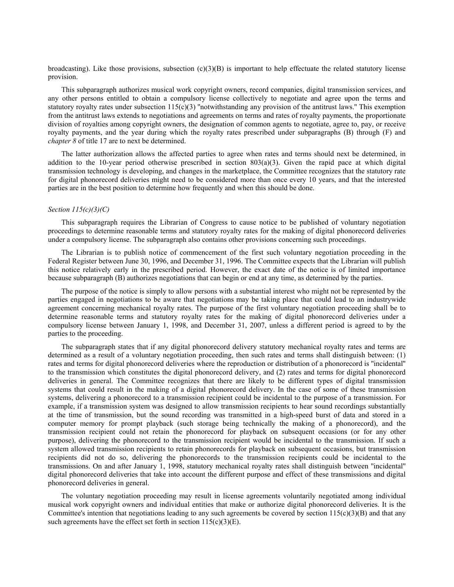broadcasting). Like those provisions, subsection  $(c)(3)(B)$  is important to help effectuate the related statutory license provision.

This subparagraph authorizes musical work copyright owners, record companies, digital transmission services, and any other persons entitled to obtain a compulsory license collectively to negotiate and agree upon the terms and statutory royalty rates under subsection  $115(c)(3)$  "notwithstanding any provision of the antitrust laws." This exemption from the antitrust laws extends to negotiations and agreements on terms and rates of royalty payments, the proportionate division of royalties among copyright owners, the designation of common agents to negotiate, agree to, pay, or receive royalty payments, and the year during which the royalty rates prescribed under subparagraphs (B) through (F) and *chapter 8* of title 17 are to next be determined.

The latter authorization allows the affected parties to agree when rates and terms should next be determined, in addition to the 10-year period otherwise prescribed in section  $803(a)(3)$ . Given the rapid pace at which digital transmission technology is developing, and changes in the marketplace, the Committee recognizes that the statutory rate for digital phonorecord deliveries might need to be considered more than once every 10 years, and that the interested parties are in the best position to determine how frequently and when this should be done.

## *Section 115(c)(3)(C)*

This subparagraph requires the Librarian of Congress to cause notice to be published of voluntary negotiation proceedings to determine reasonable terms and statutory royalty rates for the making of digital phonorecord deliveries under a compulsory license. The subparagraph also contains other provisions concerning such proceedings.

The Librarian is to publish notice of commencement of the first such voluntary negotiation proceeding in the Federal Register between June 30, 1996, and December 31, 1996. The Committee expects that the Librarian will publish this notice relatively early in the prescribed period. However, the exact date of the notice is of limited importance because subparagraph (B) authorizes negotiations that can begin or end at any time, as determined by the parties.

The purpose of the notice is simply to allow persons with a substantial interest who might not be represented by the parties engaged in negotiations to be aware that negotiations may be taking place that could lead to an industrywide agreement concerning mechanical royalty rates. The purpose of the first voluntary negotiation proceeding shall be to determine reasonable terms and statutory royalty rates for the making of digital phonorecord deliveries under a compulsory license between January 1, 1998, and December 31, 2007, unless a different period is agreed to by the parties to the proceeding.

The subparagraph states that if any digital phonorecord delivery statutory mechanical royalty rates and terms are determined as a result of a voluntary negotiation proceeding, then such rates and terms shall distinguish between: (1) rates and terms for digital phonorecord deliveries where the reproduction or distribution of a phonorecord is ''incidental'' to the transmission which constitutes the digital phonorecord delivery, and (2) rates and terms for digital phonorecord deliveries in general. The Committee recognizes that there are likely to be different types of digital transmission systems that could result in the making of a digital phonorecord delivery. In the case of some of these transmission systems, delivering a phonorecord to a transmission recipient could be incidental to the purpose of a transmission. For example, if a transmission system was designed to allow transmission recipients to hear sound recordings substantially at the time of transmission, but the sound recording was transmitted in a high-speed burst of data and stored in a computer memory for prompt playback (such storage being technically the making of a phonorecord), and the transmission recipient could not retain the phonorecord for playback on subsequent occasions (or for any other purpose), delivering the phonorecord to the transmission recipient would be incidental to the transmission. If such a system allowed transmission recipients to retain phonorecords for playback on subsequent occasions, but transmission recipients did not do so, delivering the phonorecords to the transmission recipients could be incidental to the transmissions. On and after January 1, 1998, statutory mechanical royalty rates shall distinguish between ''incidental'' digital phonorecord deliveries that take into account the different purpose and effect of these transmissions and digital phonorecord deliveries in general.

The voluntary negotiation proceeding may result in license agreements voluntarily negotiated among individual musical work copyright owners and individual entities that make or authorize digital phonorecord deliveries. It is the Committee's intention that negotiations leading to any such agreements be covered by section  $115(c)(3)(B)$  and that any such agreements have the effect set forth in section  $115(c)(3)(E)$ .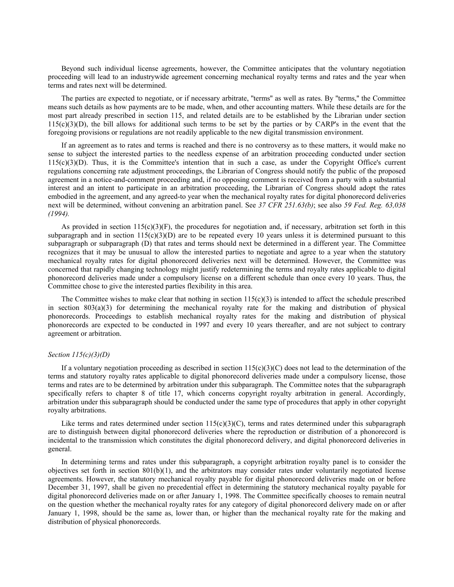Beyond such individual license agreements, however, the Committee anticipates that the voluntary negotiation proceeding will lead to an industrywide agreement concerning mechanical royalty terms and rates and the year when terms and rates next will be determined.

The parties are expected to negotiate, or if necessary arbitrate, ''terms'' as well as rates. By ''terms,'' the Committee means such details as how payments are to be made, when, and other accounting matters. While these details are for the most part already prescribed in section 115, and related details are to be established by the Librarian under section  $115(c)(3)(D)$ , the bill allows for additional such terms to be set by the parties or by CARP's in the event that the foregoing provisions or regulations are not readily applicable to the new digital transmission environment.

If an agreement as to rates and terms is reached and there is no controversy as to these matters, it would make no sense to subject the interested parties to the needless expense of an arbitration proceeding conducted under section 115(c)(3)(D). Thus, it is the Committee's intention that in such a case, as under the Copyright Office's current regulations concerning rate adjustment proceedings, the Librarian of Congress should notify the public of the proposed agreement in a notice-and-comment proceeding and, if no opposing comment is received from a party with a substantial interest and an intent to participate in an arbitration proceeding, the Librarian of Congress should adopt the rates embodied in the agreement, and any agreed-to year when the mechanical royalty rates for digital phonorecord deliveries next will be determined, without convening an arbitration panel. See *37 CFR 251.63(b)*; see also *59 Fed. Reg. 63,038 (1994).*

As provided in section  $115(c)(3)(F)$ , the procedures for negotiation and, if necessary, arbitration set forth in this subparagraph and in section  $115(c)(3)(D)$  are to be repeated every 10 years unless it is determined pursuant to this subparagraph or subparagraph (D) that rates and terms should next be determined in a different year. The Committee recognizes that it may be unusual to allow the interested parties to negotiate and agree to a year when the statutory mechanical royalty rates for digital phonorecord deliveries next will be determined. However, the Committee was concerned that rapidly changing technology might justify redetermining the terms and royalty rates applicable to digital phonorecord deliveries made under a compulsory license on a different schedule than once every 10 years. Thus, the Committee chose to give the interested parties flexibility in this area.

The Committee wishes to make clear that nothing in section  $115(c)(3)$  is intended to affect the schedule prescribed in section  $803(a)(3)$  for determining the mechanical royalty rate for the making and distribution of physical phonorecords. Proceedings to establish mechanical royalty rates for the making and distribution of physical phonorecords are expected to be conducted in 1997 and every 10 years thereafter, and are not subject to contrary agreement or arbitration.

# *Section 115(c)(3)(D)*

If a voluntary negotiation proceeding as described in section  $115(c)(3)(C)$  does not lead to the determination of the terms and statutory royalty rates applicable to digital phonorecord deliveries made under a compulsory license, those terms and rates are to be determined by arbitration under this subparagraph. The Committee notes that the subparagraph specifically refers to chapter 8 of title 17, which concerns copyright royalty arbitration in general. Accordingly, arbitration under this subparagraph should be conducted under the same type of procedures that apply in other copyright royalty arbitrations.

Like terms and rates determined under section  $115(c)(3)(C)$ , terms and rates determined under this subparagraph are to distinguish between digital phonorecord deliveries where the reproduction or distribution of a phonorecord is incidental to the transmission which constitutes the digital phonorecord delivery, and digital phonorecord deliveries in general.

In determining terms and rates under this subparagraph, a copyright arbitration royalty panel is to consider the objectives set forth in section  $801(b)(1)$ , and the arbitrators may consider rates under voluntarily negotiated license agreements. However, the statutory mechanical royalty payable for digital phonorecord deliveries made on or before December 31, 1997, shall be given no precedential effect in determining the statutory mechanical royalty payable for digital phonorecord deliveries made on or after January 1, 1998. The Committee specifically chooses to remain neutral on the question whether the mechanical royalty rates for any category of digital phonorecord delivery made on or after January 1, 1998, should be the same as, lower than, or higher than the mechanical royalty rate for the making and distribution of physical phonorecords.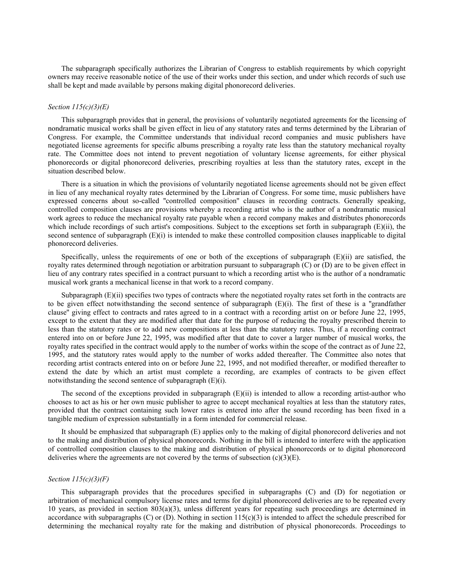The subparagraph specifically authorizes the Librarian of Congress to establish requirements by which copyright owners may receive reasonable notice of the use of their works under this section, and under which records of such use shall be kept and made available by persons making digital phonorecord deliveries.

# *Section 115(c)(3)(E)*

This subparagraph provides that in general, the provisions of voluntarily negotiated agreements for the licensing of nondramatic musical works shall be given effect in lieu of any statutory rates and terms determined by the Librarian of Congress. For example, the Committee understands that individual record companies and music publishers have negotiated license agreements for specific albums prescribing a royalty rate less than the statutory mechanical royalty rate. The Committee does not intend to prevent negotiation of voluntary license agreements, for either physical phonorecords or digital phonorecord deliveries, prescribing royalties at less than the statutory rates, except in the situation described below.

There is a situation in which the provisions of voluntarily negotiated license agreements should not be given effect in lieu of any mechanical royalty rates determined by the Librarian of Congress. For some time, music publishers have expressed concerns about so-called ''controlled composition'' clauses in recording contracts. Generally speaking, controlled composition clauses are provisions whereby a recording artist who is the author of a nondramatic musical work agrees to reduce the mechanical royalty rate payable when a record company makes and distributes phonorecords which include recordings of such artist's compositions. Subject to the exceptions set forth in subparagraph  $(E)(ii)$ , the second sentence of subparagraph  $(E)(i)$  is intended to make these controlled composition clauses inapplicable to digital phonorecord deliveries.

Specifically, unless the requirements of one or both of the exceptions of subparagraph  $(E)(ii)$  are satisfied, the royalty rates determined through negotiation or arbitration pursuant to subparagraph (C) or (D) are to be given effect in lieu of any contrary rates specified in a contract pursuant to which a recording artist who is the author of a nondramatic musical work grants a mechanical license in that work to a record company.

Subparagraph (E)(ii) specifies two types of contracts where the negotiated royalty rates set forth in the contracts are to be given effect notwithstanding the second sentence of subparagraph  $(E)(i)$ . The first of these is a "grandfather clause'' giving effect to contracts and rates agreed to in a contract with a recording artist on or before June 22, 1995, except to the extent that they are modified after that date for the purpose of reducing the royalty prescribed therein to less than the statutory rates or to add new compositions at less than the statutory rates. Thus, if a recording contract entered into on or before June 22, 1995, was modified after that date to cover a larger number of musical works, the royalty rates specified in the contract would apply to the number of works within the scope of the contract as of June 22, 1995, and the statutory rates would apply to the number of works added thereafter. The Committee also notes that recording artist contracts entered into on or before June 22, 1995, and not modified thereafter, or modified thereafter to extend the date by which an artist must complete a recording, are examples of contracts to be given effect notwithstanding the second sentence of subparagraph (E)(i).

The second of the exceptions provided in subparagraph  $(E)(ii)$  is intended to allow a recording artist-author who chooses to act as his or her own music publisher to agree to accept mechanical royalties at less than the statutory rates, provided that the contract containing such lower rates is entered into after the sound recording has been fixed in a tangible medium of expression substantially in a form intended for commercial release.

It should be emphasized that subparagraph (E) applies only to the making of digital phonorecord deliveries and not to the making and distribution of physical phonorecords. Nothing in the bill is intended to interfere with the application of controlled composition clauses to the making and distribution of physical phonorecords or to digital phonorecord deliveries where the agreements are not covered by the terms of subsection  $(c)(3)(E)$ .

# *Section 115(c)(3)(F)*

This subparagraph provides that the procedures specified in subparagraphs (C) and (D) for negotiation or arbitration of mechanical compulsory license rates and terms for digital phonorecord deliveries are to be repeated every 10 years, as provided in section 803(a)(3), unless different years for repeating such proceedings are determined in accordance with subparagraphs  $(C)$  or  $(D)$ . Nothing in section  $115(c)(3)$  is intended to affect the schedule prescribed for determining the mechanical royalty rate for the making and distribution of physical phonorecords. Proceedings to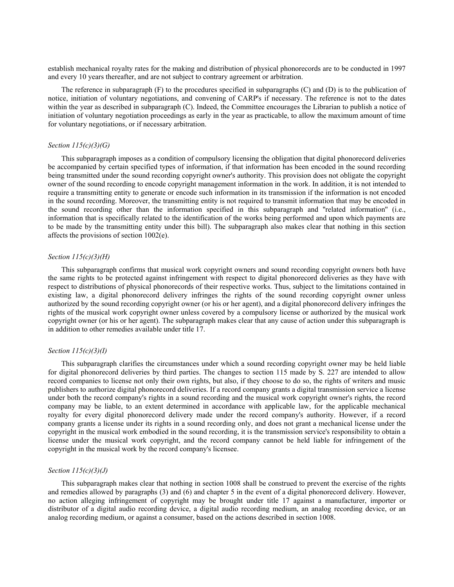establish mechanical royalty rates for the making and distribution of physical phonorecords are to be conducted in 1997 and every 10 years thereafter, and are not subject to contrary agreement or arbitration.

The reference in subparagraph  $(F)$  to the procedures specified in subparagraphs  $(C)$  and  $(D)$  is to the publication of notice, initiation of voluntary negotiations, and convening of CARP's if necessary. The reference is not to the dates within the year as described in subparagraph (C). Indeed, the Committee encourages the Librarian to publish a notice of initiation of voluntary negotiation proceedings as early in the year as practicable, to allow the maximum amount of time for voluntary negotiations, or if necessary arbitration.

## *Section 115(c)(3)(G)*

This subparagraph imposes as a condition of compulsory licensing the obligation that digital phonorecord deliveries be accompanied by certain specified types of information, if that information has been encoded in the sound recording being transmitted under the sound recording copyright owner's authority. This provision does not obligate the copyright owner of the sound recording to encode copyright management information in the work. In addition, it is not intended to require a transmitting entity to generate or encode such information in its transmission if the information is not encoded in the sound recording. Moreover, the transmitting entity is not required to transmit information that may be encoded in the sound recording other than the information specified in this subparagraph and ''related information'' (i.e., information that is specifically related to the identification of the works being performed and upon which payments are to be made by the transmitting entity under this bill). The subparagraph also makes clear that nothing in this section affects the provisions of section 1002(e).

# *Section 115(c)(3)(H)*

This subparagraph confirms that musical work copyright owners and sound recording copyright owners both have the same rights to be protected against infringement with respect to digital phonorecord deliveries as they have with respect to distributions of physical phonorecords of their respective works. Thus, subject to the limitations contained in existing law, a digital phonorecord delivery infringes the rights of the sound recording copyright owner unless authorized by the sound recording copyright owner (or his or her agent), and a digital phonorecord delivery infringes the rights of the musical work copyright owner unless covered by a compulsory license or authorized by the musical work copyright owner (or his or her agent). The subparagraph makes clear that any cause of action under this subparagraph is in addition to other remedies available under title 17.

### *Section 115(c)(3)(I)*

This subparagraph clarifies the circumstances under which a sound recording copyright owner may be held liable for digital phonorecord deliveries by third parties. The changes to section 115 made by S. 227 are intended to allow record companies to license not only their own rights, but also, if they choose to do so, the rights of writers and music publishers to authorize digital phonorecord deliveries. If a record company grants a digital transmission service a license under both the record company's rights in a sound recording and the musical work copyright owner's rights, the record company may be liable, to an extent determined in accordance with applicable law, for the applicable mechanical royalty for every digital phonorecord delivery made under the record company's authority. However, if a record company grants a license under its rights in a sound recording only, and does not grant a mechanical license under the copyright in the musical work embodied in the sound recording, it is the transmission service's responsibility to obtain a license under the musical work copyright, and the record company cannot be held liable for infringement of the copyright in the musical work by the record company's licensee.

### *Section 115(c)(3)(J)*

This subparagraph makes clear that nothing in section 1008 shall be construed to prevent the exercise of the rights and remedies allowed by paragraphs (3) and (6) and chapter 5 in the event of a digital phonorecord delivery. However, no action alleging infringement of copyright may be brought under title 17 against a manufacturer, importer or distributor of a digital audio recording device, a digital audio recording medium, an analog recording device, or an analog recording medium, or against a consumer, based on the actions described in section 1008.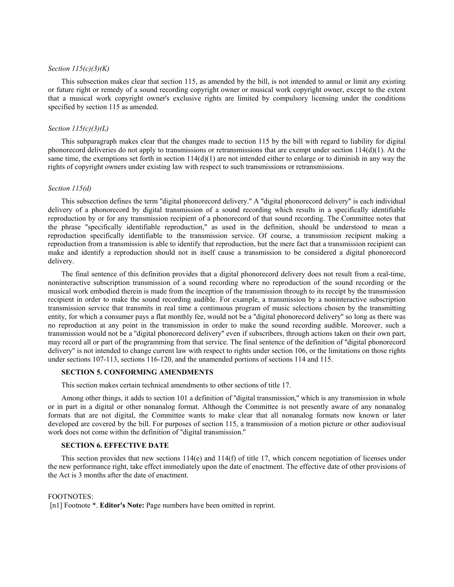# *Section 115(c)(3)(K)*

This subsection makes clear that section 115, as amended by the bill, is not intended to annul or limit any existing or future right or remedy of a sound recording copyright owner or musical work copyright owner, except to the extent that a musical work copyright owner's exclusive rights are limited by compulsory licensing under the conditions specified by section 115 as amended.

# *Section 115(c)(3)(L)*

This subparagraph makes clear that the changes made to section 115 by the bill with regard to liability for digital phonorecord deliveries do not apply to transmissions or retransmissions that are exempt under section 114(d)(1). At the same time, the exemptions set forth in section  $114(d)(1)$  are not intended either to enlarge or to diminish in any way the rights of copyright owners under existing law with respect to such transmissions or retransmissions.

# *Section 115(d)*

This subsection defines the term ''digital phonorecord delivery.'' A ''digital phonorecord delivery'' is each individual delivery of a phonorecord by digital transmission of a sound recording which results in a specifically identifiable reproduction by or for any transmission recipient of a phonorecord of that sound recording. The Committee notes that the phrase ''specifically identifiable reproduction,'' as used in the definition, should be understood to mean a reproduction specifically identifiable to the transmission service. Of course, a transmission recipient making a reproduction from a transmission is able to identify that reproduction, but the mere fact that a transmission recipient can make and identify a reproduction should not in itself cause a transmission to be considered a digital phonorecord delivery.

The final sentence of this definition provides that a digital phonorecord delivery does not result from a real-time, noninteractive subscription transmission of a sound recording where no reproduction of the sound recording or the musical work embodied therein is made from the inception of the transmission through to its receipt by the transmission recipient in order to make the sound recording audible. For example, a transmission by a noninteractive subscription transmission service that transmits in real time a continuous program of music selections chosen by the transmitting entity, for which a consumer pays a flat monthly fee, would not be a ''digital phonorecord delivery'' so long as there was no reproduction at any point in the transmission in order to make the sound recording audible. Moreover, such a transmission would not be a ''digital phonorecord delivery'' even if subscribers, through actions taken on their own part, may record all or part of the programming from that service. The final sentence of the definition of ''digital phonorecord delivery'' is not intended to change current law with respect to rights under section 106, or the limitations on those rights under sections 107-113, sections 116-120, and the unamended portions of sections 114 and 115.

# **SECTION 5. CONFORMING AMENDMENTS**

This section makes certain technical amendments to other sections of title 17.

Among other things, it adds to section 101 a definition of ''digital transmission,'' which is any transmission in whole or in part in a digital or other nonanalog format. Although the Committee is not presently aware of any nonanalog formats that are not digital, the Committee wants to make clear that all nonanalog formats now known or later developed are covered by the bill. For purposes of section 115, a transmission of a motion picture or other audiovisual work does not come within the definition of ''digital transmission.''

#### **SECTION 6. EFFECTIVE DATE**

This section provides that new sections  $114(e)$  and  $114(f)$  of title 17, which concern negotiation of licenses under the new performance right, take effect immediately upon the date of enactment. The effective date of other provisions of the Act is 3 months after the date of enactment.

#### FOOTNOTES:

[n1] Footnote \*. **Editor's Note:** Page numbers have been omitted in reprint.